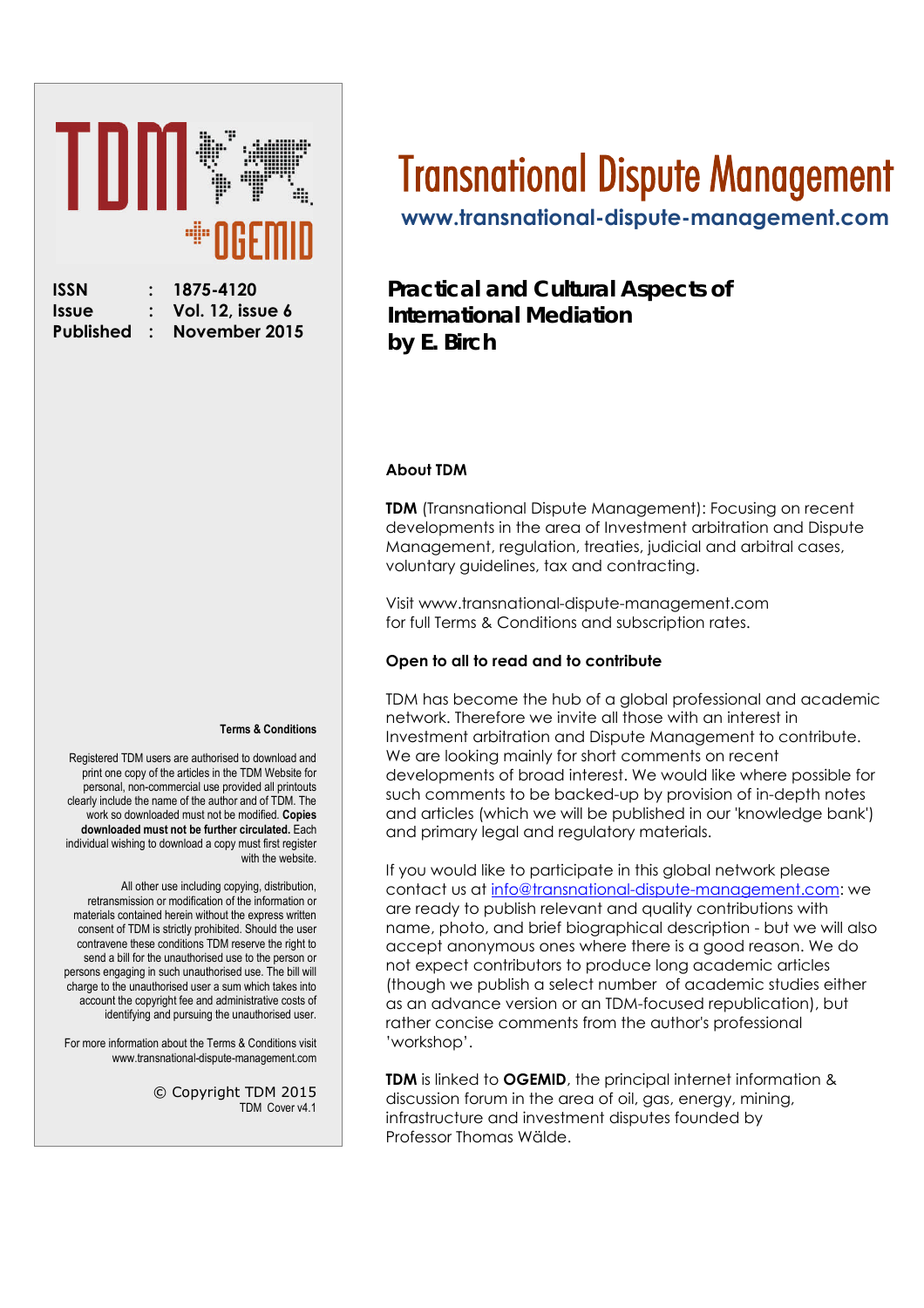# Ш uļļu

| ISSN         |
|--------------|
| <b>Issue</b> |
| Publishe     |

**ISSN : 1875-4120 Issue : Vol. 12, issue 6 November 2015** 

#### **Terms & Conditions**

Registered TDM users are authorised to download and print one copy of the articles in the TDM Website for personal, non-commercial use provided all printouts clearly include the name of the author and of TDM. The work so downloaded must not be modified. **Copies downloaded must not be further circulated.** Each individual wishing to download a copy must first register with the website.

All other use including copying, distribution, retransmission or modification of the information or materials contained herein without the express written consent of TDM is strictly prohibited. Should the user contravene these conditions TDM reserve the right to send a bill for the unauthorised use to the person or persons engaging in such unauthorised use. The bill will charge to the unauthorised user a sum which takes into account the copyright fee and administrative costs of identifying and pursuing the unauthorised user.

For more information about the Terms & Conditions visit www.transnational-dispute-management.com

> © Copyright TDM 2015 TDM Cover v4.1

# Transnational Dispute Management

**[www.transnational-dispute-management.com](http://www.transnational-dispute-management.com/)**

#### **Practical and Cultural Aspects of International Mediation by E. Birch**

#### **About TDM**

**TDM** (Transnational Dispute Management): Focusing on recent developments in the area of Investment arbitration and Dispute Management, regulation, treaties, judicial and arbitral cases, voluntary guidelines, tax and contracting.

Visit www.transnational-dispute-management.com for full Terms & Conditions and subscription rates.

#### **Open to all to read and to contribute**

TDM has become the hub of a global professional and academic network. Therefore we invite all those with an interest in Investment arbitration and Dispute Management to contribute. We are looking mainly for short comments on recent developments of broad interest. We would like where possible for such comments to be backed-up by provision of in-depth notes and articles (which we will be published in our 'knowledge bank') and primary legal and regulatory materials.

If you would like to participate in this global network please contact us at info@transnational-dispute-management.com: we are ready to publish relevant and quality contributions with name, photo, and brief biographical description - but we will also accept anonymous ones where there is a good reason. We do not expect contributors to produce long academic articles (though we publish a select number of academic studies either as an advance version or an TDM-focused republication), but rather concise comments from the author's professional 'workshop'.

**TDM** is linked to **OGEMID**, the principal internet information & discussion forum in the area of oil, gas, energy, mining, infrastructure and investment disputes founded by Professor Thomas Wälde.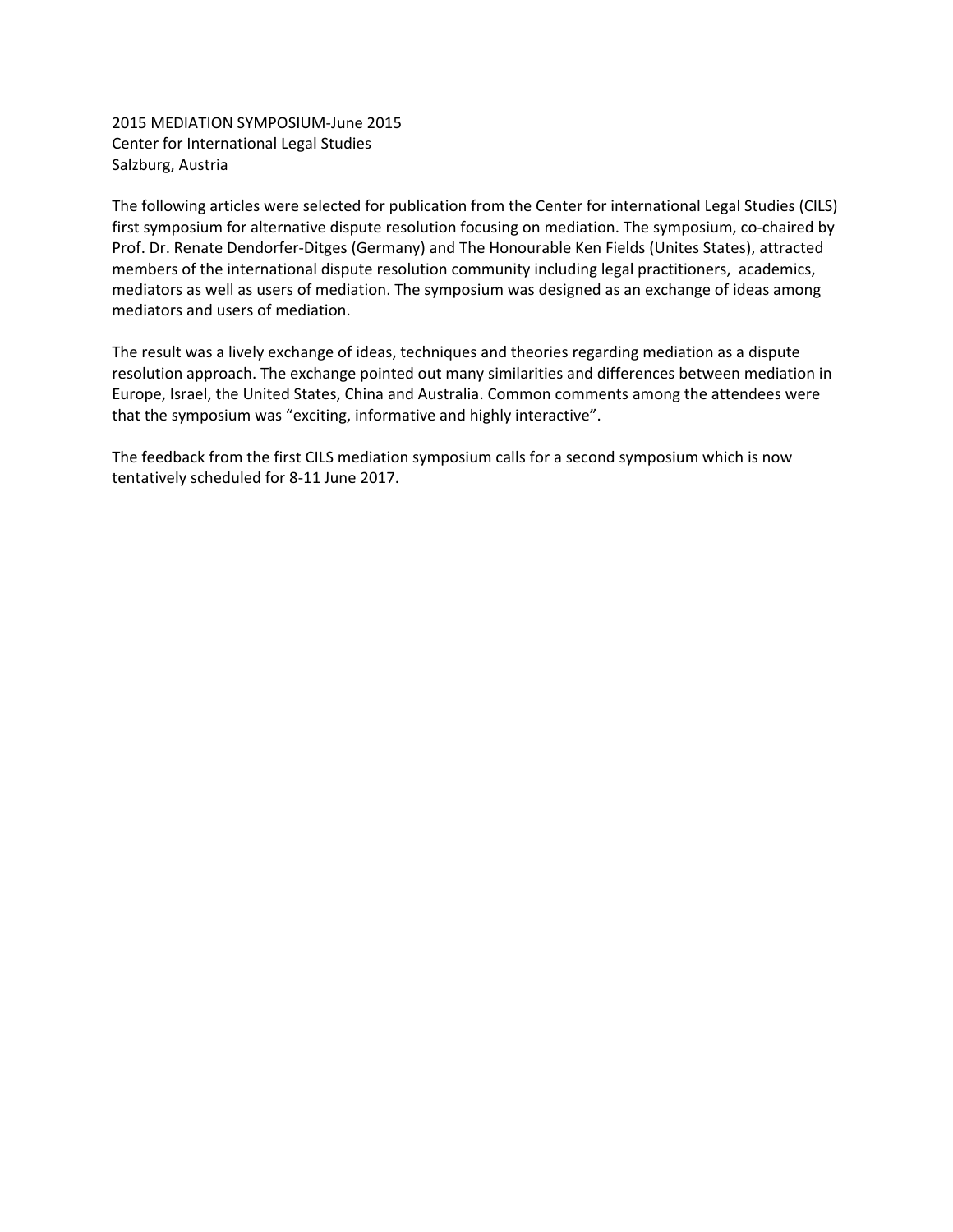2015 MEDIATION SYMPOSIUM‐June 2015 Center for International Legal Studies Salzburg, Austria

The following articles were selected for publication from the Center for international Legal Studies (CILS) first symposium for alternative dispute resolution focusing on mediation. The symposium, co-chaired by Prof. Dr. Renate Dendorfer‐Ditges (Germany) and The Honourable Ken Fields (Unites States), attracted members of the international dispute resolution community including legal practitioners, academics, mediators as well as users of mediation. The symposium was designed as an exchange of ideas among mediators and users of mediation.

The result was a lively exchange of ideas, techniques and theories regarding mediation as a dispute resolution approach. The exchange pointed out many similarities and differences between mediation in Europe, Israel, the United States, China and Australia. Common comments among the attendees were that the symposium was "exciting, informative and highly interactive".

The feedback from the first CILS mediation symposium calls for a second symposium which is now tentatively scheduled for 8‐11 June 2017.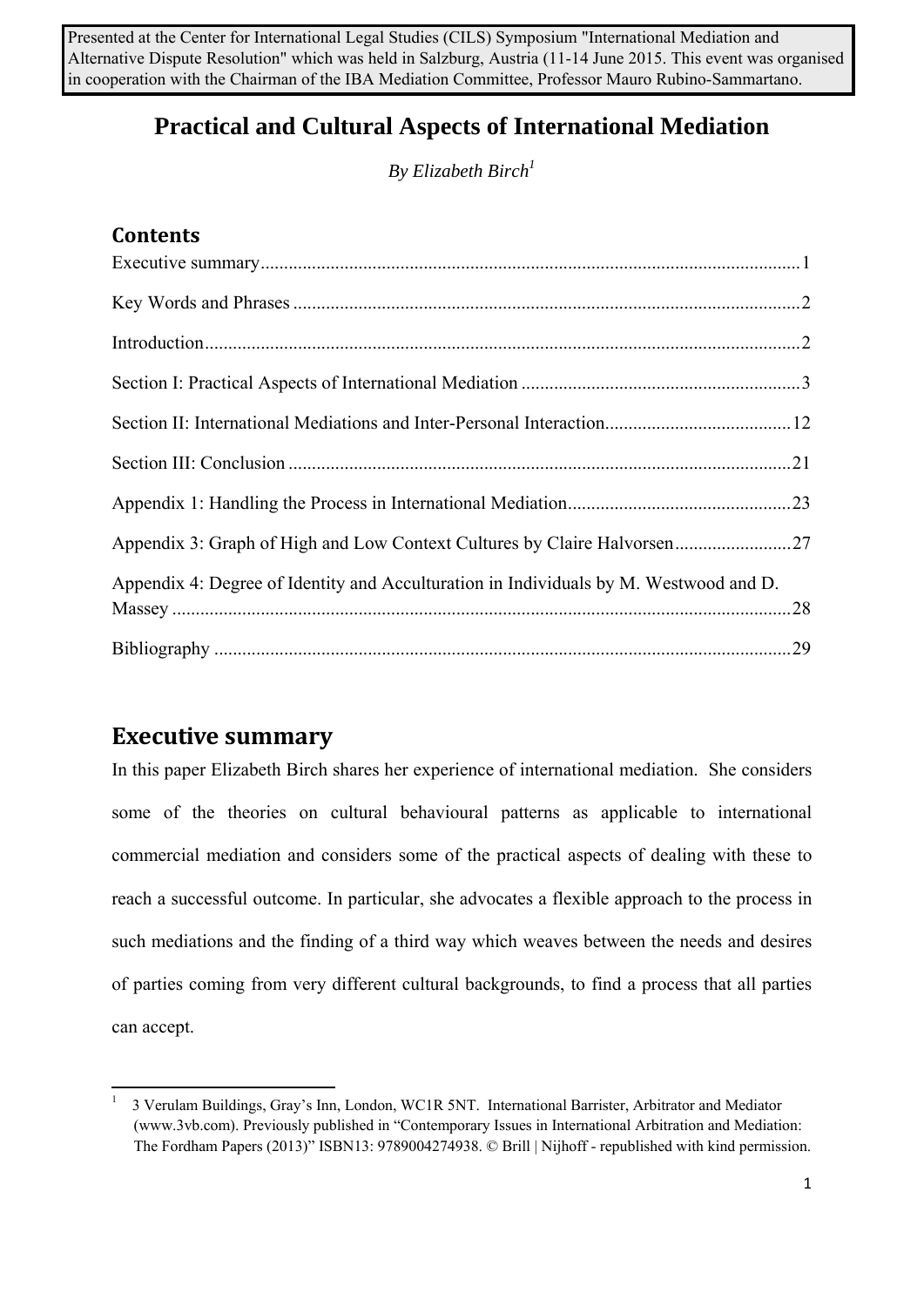Presented at the Center for International Legal Studies (CILS) Symposium "International Mediation and Alternative Dispute Resolution" which was held in Salzburg, Austria (11-14 June 2015. This event was organised in cooperation with the Chairman of the IBA Mediation Committee, Professor Mauro Rubino-Sammartano.

# **Practical and Cultural Aspects of International Mediation**

*By Elizabeth Birch1*

#### **Contents**

| Appendix 3: Graph of High and Low Context Cultures by Claire Halvorsen27              |  |
|---------------------------------------------------------------------------------------|--|
| Appendix 4: Degree of Identity and Acculturation in Individuals by M. Westwood and D. |  |
|                                                                                       |  |

# **Executive summary**

In this paper Elizabeth Birch shares her experience of international mediation. She considers some of the theories on cultural behavioural patterns as applicable to international commercial mediation and considers some of the practical aspects of dealing with these to reach a successful outcome. In particular, she advocates a flexible approach to the process in such mediations and the finding of a third way which weaves between the needs and desires of parties coming from very different cultural backgrounds, to find a process that all parties can accept.

 1 3 Verulam Buildings, Gray's Inn, London, WC1R 5NT. International Barrister, Arbitrator and Mediator (www.3vb.com). Previously published in "Contemporary Issues in International Arbitration and Mediation: The Fordham Papers (2013)" ISBN13: 9789004274938. © Brill | Nijhoff - republished with kind permission.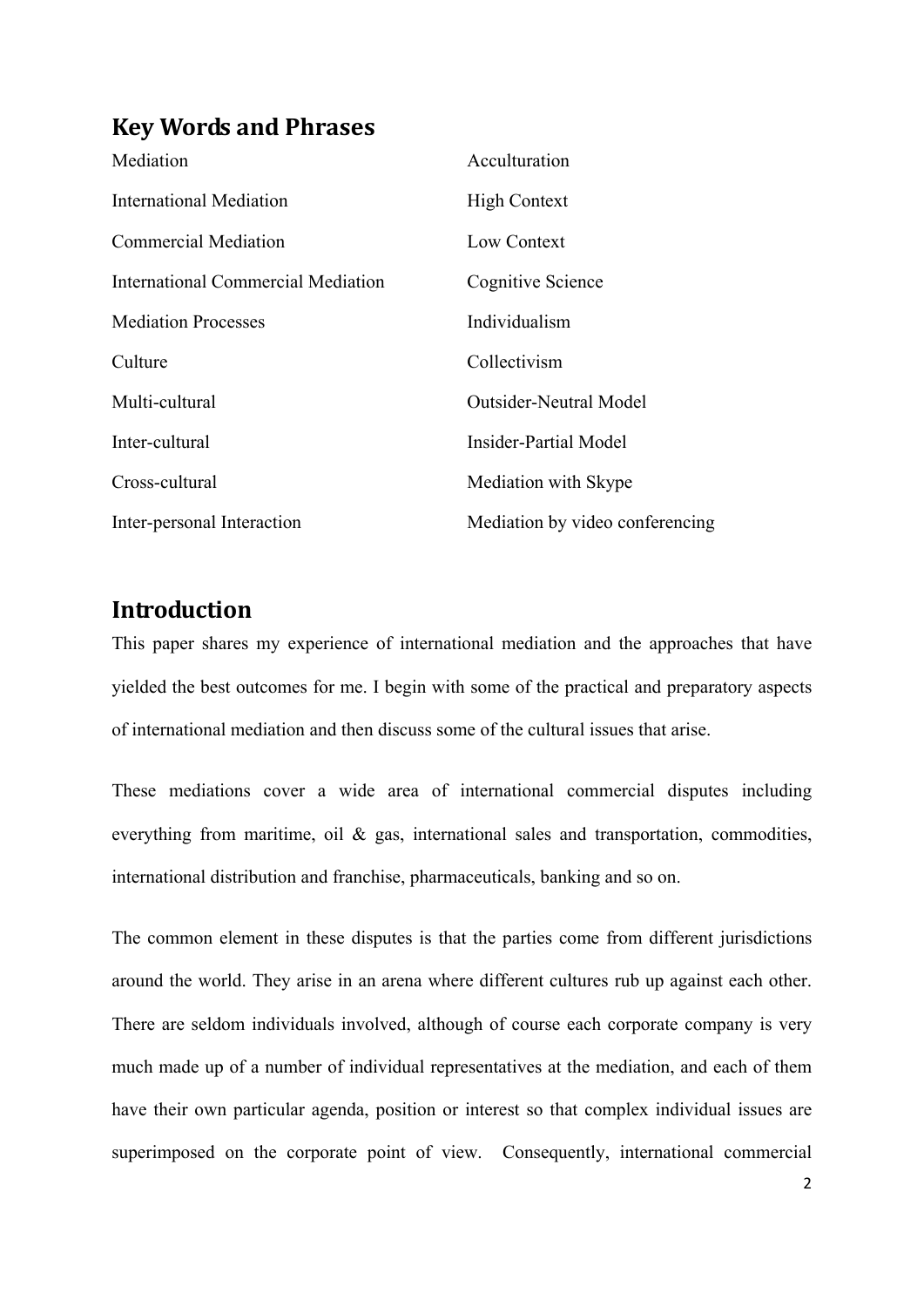### **Key Words and Phrases**

| Mediation                          | Acculturation                   |
|------------------------------------|---------------------------------|
| <b>International Mediation</b>     | <b>High Context</b>             |
| <b>Commercial Mediation</b>        | Low Context                     |
| International Commercial Mediation | Cognitive Science               |
| <b>Mediation Processes</b>         | Individualism                   |
| Culture                            | Collectivism                    |
| Multi-cultural                     | <b>Outsider-Neutral Model</b>   |
| Inter-cultural                     | <b>Insider-Partial Model</b>    |
| Cross-cultural                     | Mediation with Skype            |
| Inter-personal Interaction         | Mediation by video conferencing |

#### **Introduction**

This paper shares my experience of international mediation and the approaches that have yielded the best outcomes for me. I begin with some of the practical and preparatory aspects of international mediation and then discuss some of the cultural issues that arise.

These mediations cover a wide area of international commercial disputes including everything from maritime, oil & gas, international sales and transportation, commodities, international distribution and franchise, pharmaceuticals, banking and so on.

The common element in these disputes is that the parties come from different jurisdictions around the world. They arise in an arena where different cultures rub up against each other. There are seldom individuals involved, although of course each corporate company is very much made up of a number of individual representatives at the mediation, and each of them have their own particular agenda, position or interest so that complex individual issues are superimposed on the corporate point of view. Consequently, international commercial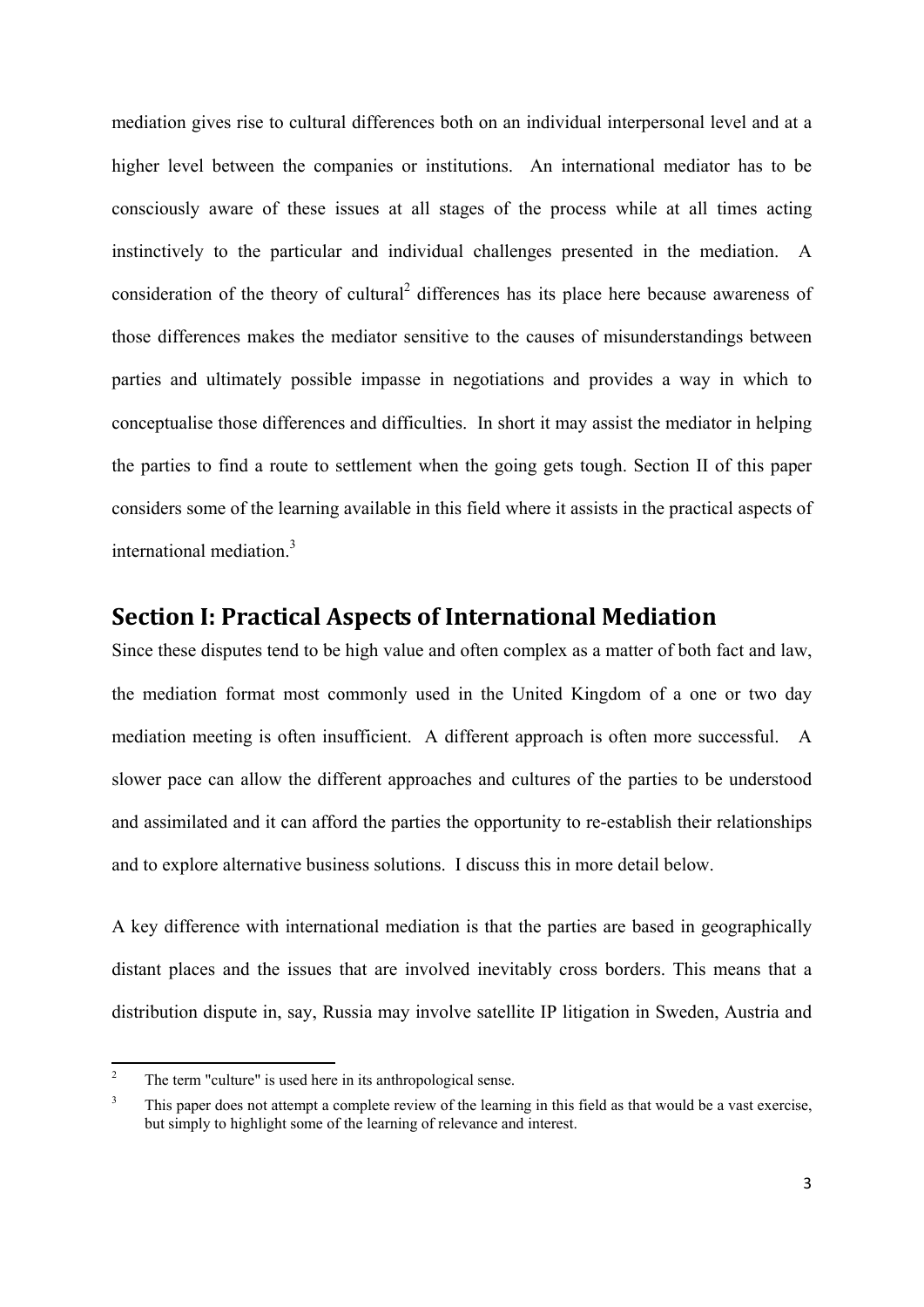mediation gives rise to cultural differences both on an individual interpersonal level and at a higher level between the companies or institutions. An international mediator has to be consciously aware of these issues at all stages of the process while at all times acting instinctively to the particular and individual challenges presented in the mediation. A consideration of the theory of cultural<sup>2</sup> differences has its place here because awareness of those differences makes the mediator sensitive to the causes of misunderstandings between parties and ultimately possible impasse in negotiations and provides a way in which to conceptualise those differences and difficulties. In short it may assist the mediator in helping the parties to find a route to settlement when the going gets tough. Section II of this paper considers some of the learning available in this field where it assists in the practical aspects of international mediation.<sup>3</sup>

#### **Section I: Practical Aspects of International Mediation**

Since these disputes tend to be high value and often complex as a matter of both fact and law, the mediation format most commonly used in the United Kingdom of a one or two day mediation meeting is often insufficient. A different approach is often more successful. A slower pace can allow the different approaches and cultures of the parties to be understood and assimilated and it can afford the parties the opportunity to re-establish their relationships and to explore alternative business solutions. I discuss this in more detail below.

A key difference with international mediation is that the parties are based in geographically distant places and the issues that are involved inevitably cross borders. This means that a distribution dispute in, say, Russia may involve satellite IP litigation in Sweden, Austria and

<sup>2</sup> The term "culture" is used here in its anthropological sense.

<sup>3</sup> This paper does not attempt a complete review of the learning in this field as that would be a vast exercise, but simply to highlight some of the learning of relevance and interest.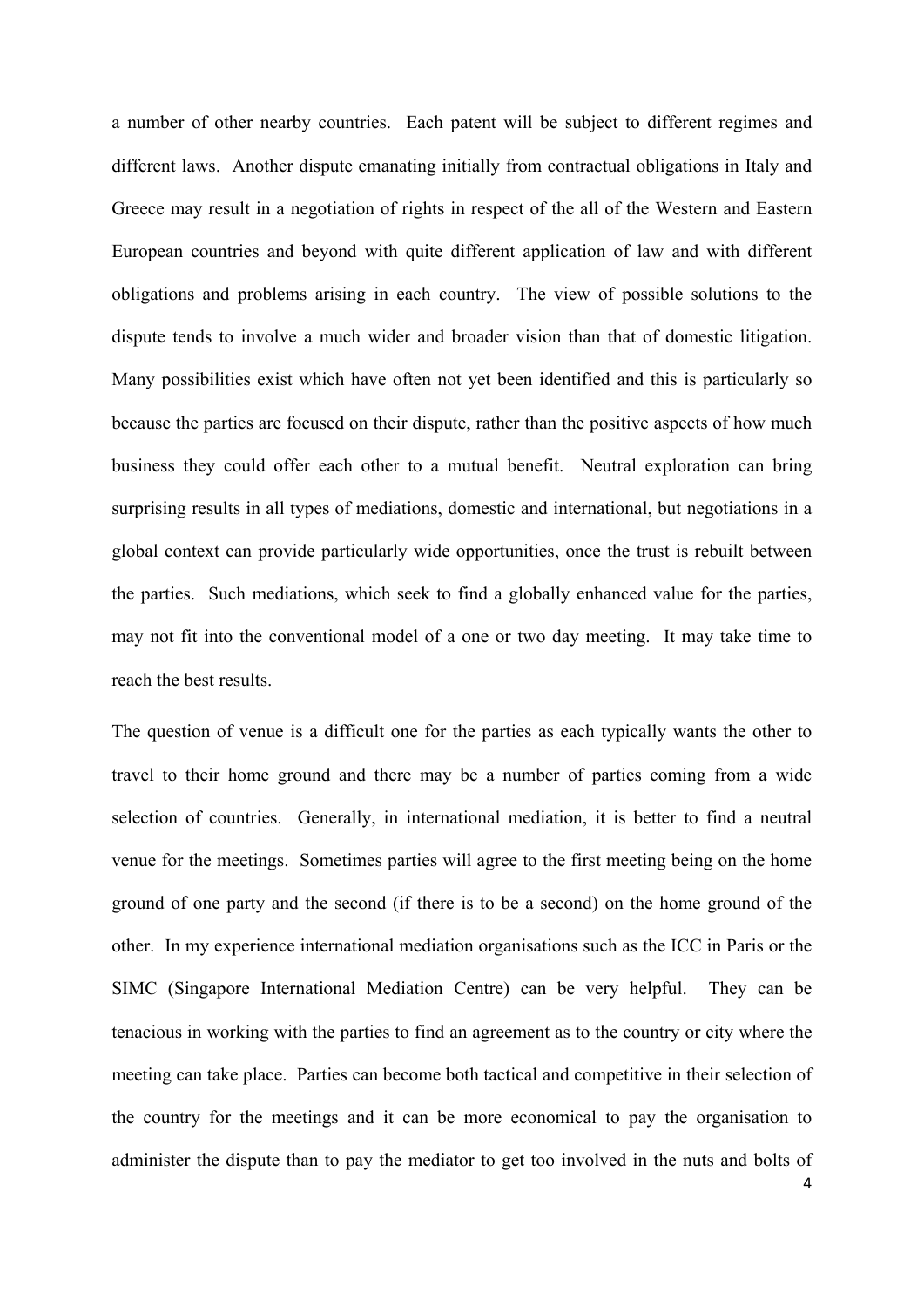a number of other nearby countries. Each patent will be subject to different regimes and different laws. Another dispute emanating initially from contractual obligations in Italy and Greece may result in a negotiation of rights in respect of the all of the Western and Eastern European countries and beyond with quite different application of law and with different obligations and problems arising in each country. The view of possible solutions to the dispute tends to involve a much wider and broader vision than that of domestic litigation. Many possibilities exist which have often not yet been identified and this is particularly so because the parties are focused on their dispute, rather than the positive aspects of how much business they could offer each other to a mutual benefit. Neutral exploration can bring surprising results in all types of mediations, domestic and international, but negotiations in a global context can provide particularly wide opportunities, once the trust is rebuilt between the parties. Such mediations, which seek to find a globally enhanced value for the parties, may not fit into the conventional model of a one or two day meeting. It may take time to reach the best results.

The question of venue is a difficult one for the parties as each typically wants the other to travel to their home ground and there may be a number of parties coming from a wide selection of countries. Generally, in international mediation, it is better to find a neutral venue for the meetings. Sometimes parties will agree to the first meeting being on the home ground of one party and the second (if there is to be a second) on the home ground of the other. In my experience international mediation organisations such as the ICC in Paris or the SIMC (Singapore International Mediation Centre) can be very helpful. They can be tenacious in working with the parties to find an agreement as to the country or city where the meeting can take place. Parties can become both tactical and competitive in their selection of the country for the meetings and it can be more economical to pay the organisation to administer the dispute than to pay the mediator to get too involved in the nuts and bolts of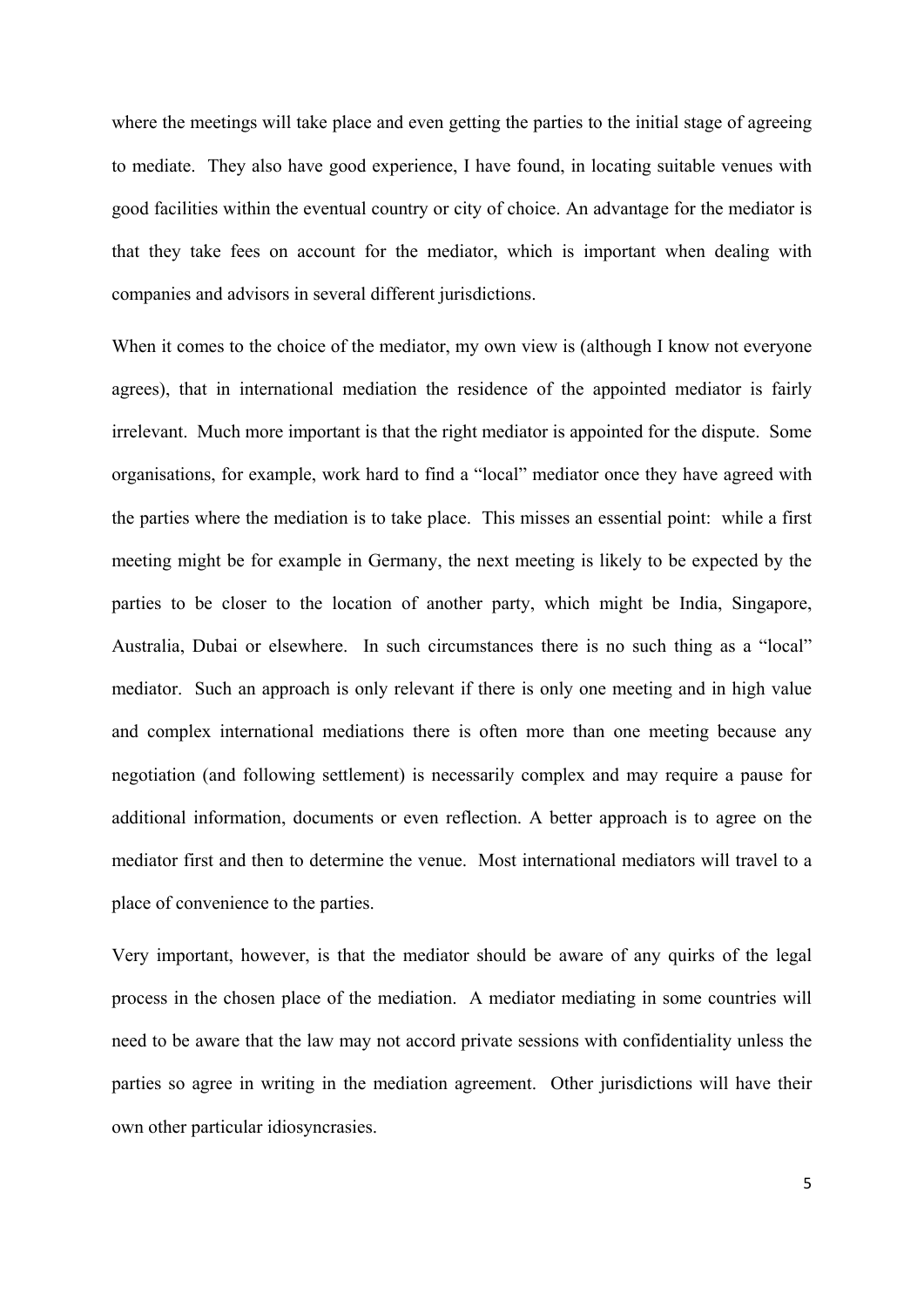where the meetings will take place and even getting the parties to the initial stage of agreeing to mediate. They also have good experience, I have found, in locating suitable venues with good facilities within the eventual country or city of choice. An advantage for the mediator is that they take fees on account for the mediator, which is important when dealing with companies and advisors in several different jurisdictions.

When it comes to the choice of the mediator, my own view is (although I know not everyone agrees), that in international mediation the residence of the appointed mediator is fairly irrelevant. Much more important is that the right mediator is appointed for the dispute. Some organisations, for example, work hard to find a "local" mediator once they have agreed with the parties where the mediation is to take place. This misses an essential point: while a first meeting might be for example in Germany, the next meeting is likely to be expected by the parties to be closer to the location of another party, which might be India, Singapore, Australia, Dubai or elsewhere. In such circumstances there is no such thing as a "local" mediator. Such an approach is only relevant if there is only one meeting and in high value and complex international mediations there is often more than one meeting because any negotiation (and following settlement) is necessarily complex and may require a pause for additional information, documents or even reflection. A better approach is to agree on the mediator first and then to determine the venue. Most international mediators will travel to a place of convenience to the parties.

Very important, however, is that the mediator should be aware of any quirks of the legal process in the chosen place of the mediation. A mediator mediating in some countries will need to be aware that the law may not accord private sessions with confidentiality unless the parties so agree in writing in the mediation agreement. Other jurisdictions will have their own other particular idiosyncrasies.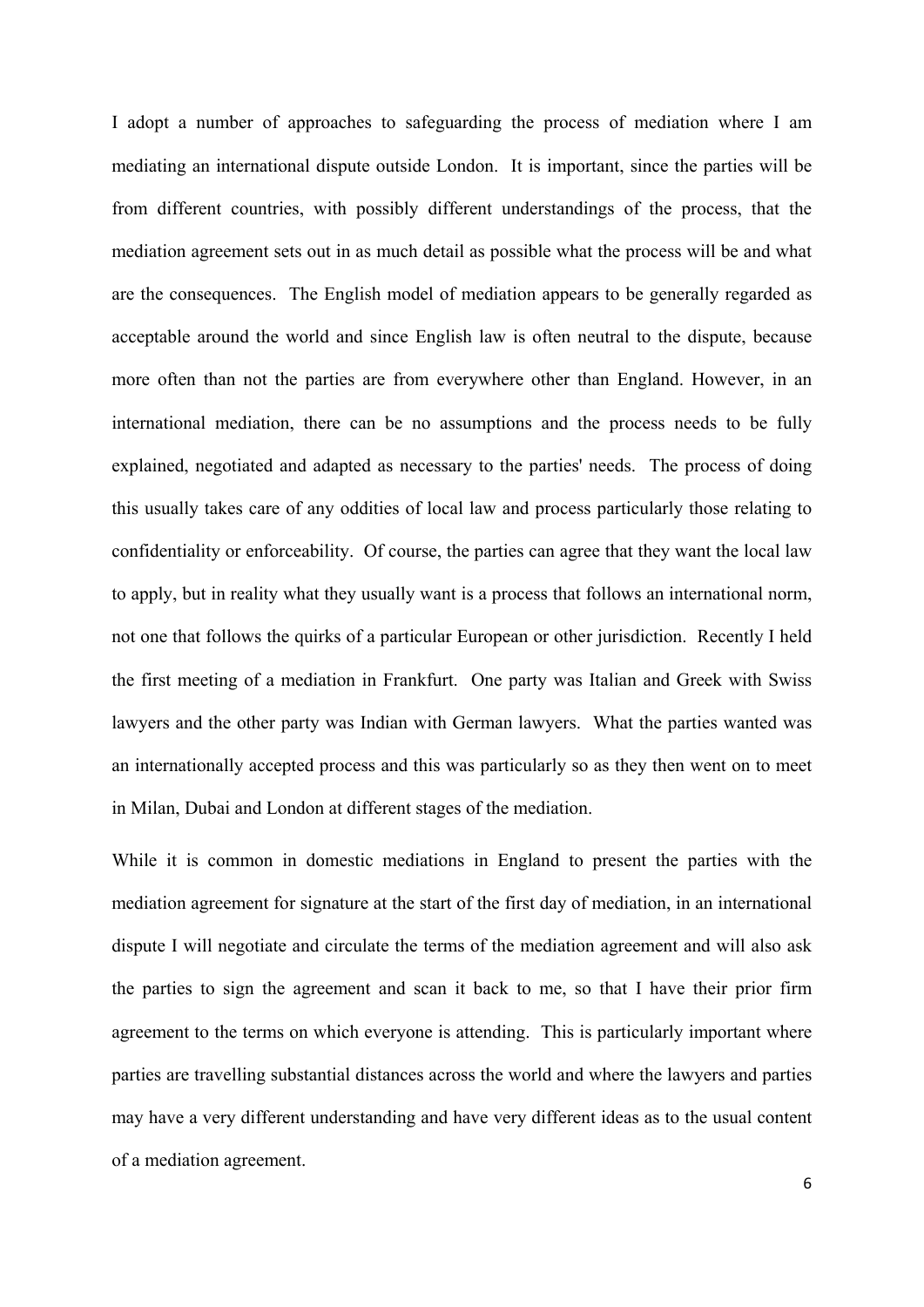I adopt a number of approaches to safeguarding the process of mediation where I am mediating an international dispute outside London. It is important, since the parties will be from different countries, with possibly different understandings of the process, that the mediation agreement sets out in as much detail as possible what the process will be and what are the consequences. The English model of mediation appears to be generally regarded as acceptable around the world and since English law is often neutral to the dispute, because more often than not the parties are from everywhere other than England. However, in an international mediation, there can be no assumptions and the process needs to be fully explained, negotiated and adapted as necessary to the parties' needs. The process of doing this usually takes care of any oddities of local law and process particularly those relating to confidentiality or enforceability. Of course, the parties can agree that they want the local law to apply, but in reality what they usually want is a process that follows an international norm, not one that follows the quirks of a particular European or other jurisdiction. Recently I held the first meeting of a mediation in Frankfurt. One party was Italian and Greek with Swiss lawyers and the other party was Indian with German lawyers. What the parties wanted was an internationally accepted process and this was particularly so as they then went on to meet in Milan, Dubai and London at different stages of the mediation.

While it is common in domestic mediations in England to present the parties with the mediation agreement for signature at the start of the first day of mediation, in an international dispute I will negotiate and circulate the terms of the mediation agreement and will also ask the parties to sign the agreement and scan it back to me, so that I have their prior firm agreement to the terms on which everyone is attending. This is particularly important where parties are travelling substantial distances across the world and where the lawyers and parties may have a very different understanding and have very different ideas as to the usual content of a mediation agreement.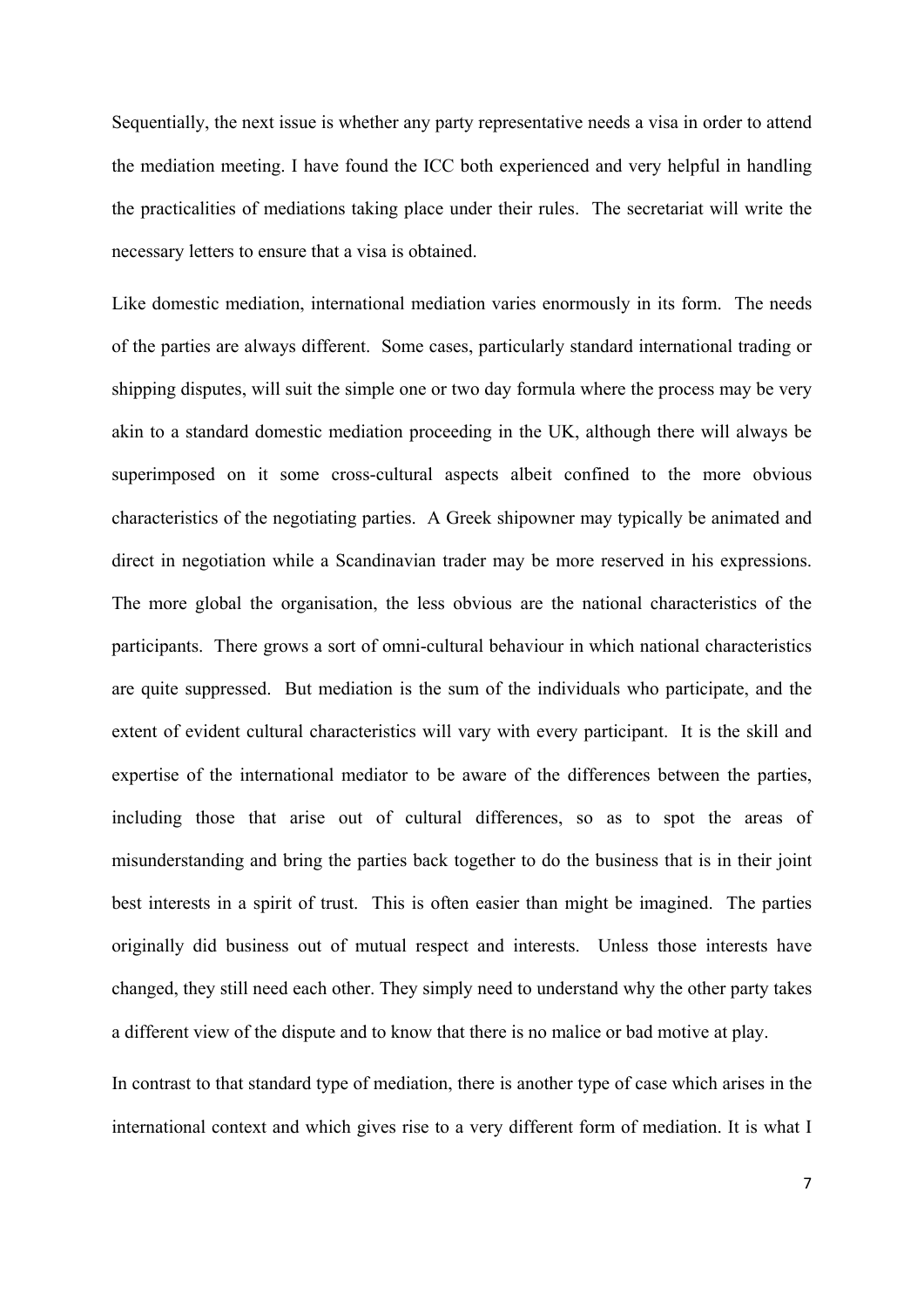Sequentially, the next issue is whether any party representative needs a visa in order to attend the mediation meeting. I have found the ICC both experienced and very helpful in handling the practicalities of mediations taking place under their rules. The secretariat will write the necessary letters to ensure that a visa is obtained.

Like domestic mediation, international mediation varies enormously in its form. The needs of the parties are always different. Some cases, particularly standard international trading or shipping disputes, will suit the simple one or two day formula where the process may be very akin to a standard domestic mediation proceeding in the UK, although there will always be superimposed on it some cross-cultural aspects albeit confined to the more obvious characteristics of the negotiating parties. A Greek shipowner may typically be animated and direct in negotiation while a Scandinavian trader may be more reserved in his expressions. The more global the organisation, the less obvious are the national characteristics of the participants. There grows a sort of omni-cultural behaviour in which national characteristics are quite suppressed. But mediation is the sum of the individuals who participate, and the extent of evident cultural characteristics will vary with every participant. It is the skill and expertise of the international mediator to be aware of the differences between the parties, including those that arise out of cultural differences, so as to spot the areas of misunderstanding and bring the parties back together to do the business that is in their joint best interests in a spirit of trust. This is often easier than might be imagined. The parties originally did business out of mutual respect and interests. Unless those interests have changed, they still need each other. They simply need to understand why the other party takes a different view of the dispute and to know that there is no malice or bad motive at play.

In contrast to that standard type of mediation, there is another type of case which arises in the international context and which gives rise to a very different form of mediation. It is what I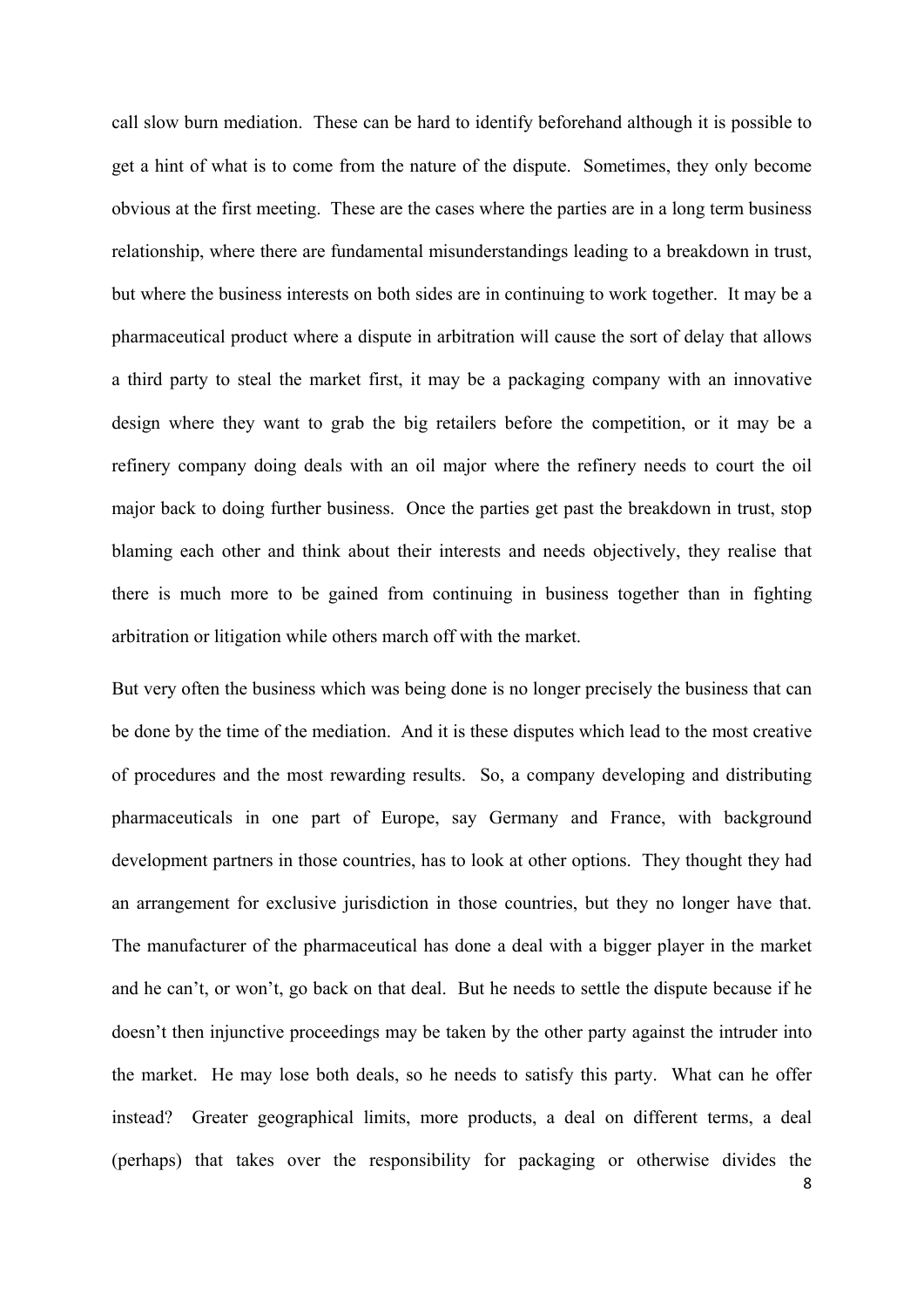call slow burn mediation. These can be hard to identify beforehand although it is possible to get a hint of what is to come from the nature of the dispute. Sometimes, they only become obvious at the first meeting. These are the cases where the parties are in a long term business relationship, where there are fundamental misunderstandings leading to a breakdown in trust, but where the business interests on both sides are in continuing to work together. It may be a pharmaceutical product where a dispute in arbitration will cause the sort of delay that allows a third party to steal the market first, it may be a packaging company with an innovative design where they want to grab the big retailers before the competition, or it may be a refinery company doing deals with an oil major where the refinery needs to court the oil major back to doing further business. Once the parties get past the breakdown in trust, stop blaming each other and think about their interests and needs objectively, they realise that there is much more to be gained from continuing in business together than in fighting arbitration or litigation while others march off with the market.

But very often the business which was being done is no longer precisely the business that can be done by the time of the mediation. And it is these disputes which lead to the most creative of procedures and the most rewarding results. So, a company developing and distributing pharmaceuticals in one part of Europe, say Germany and France, with background development partners in those countries, has to look at other options. They thought they had an arrangement for exclusive jurisdiction in those countries, but they no longer have that. The manufacturer of the pharmaceutical has done a deal with a bigger player in the market and he can't, or won't, go back on that deal. But he needs to settle the dispute because if he doesn't then injunctive proceedings may be taken by the other party against the intruder into the market. He may lose both deals, so he needs to satisfy this party. What can he offer instead? Greater geographical limits, more products, a deal on different terms, a deal (perhaps) that takes over the responsibility for packaging or otherwise divides the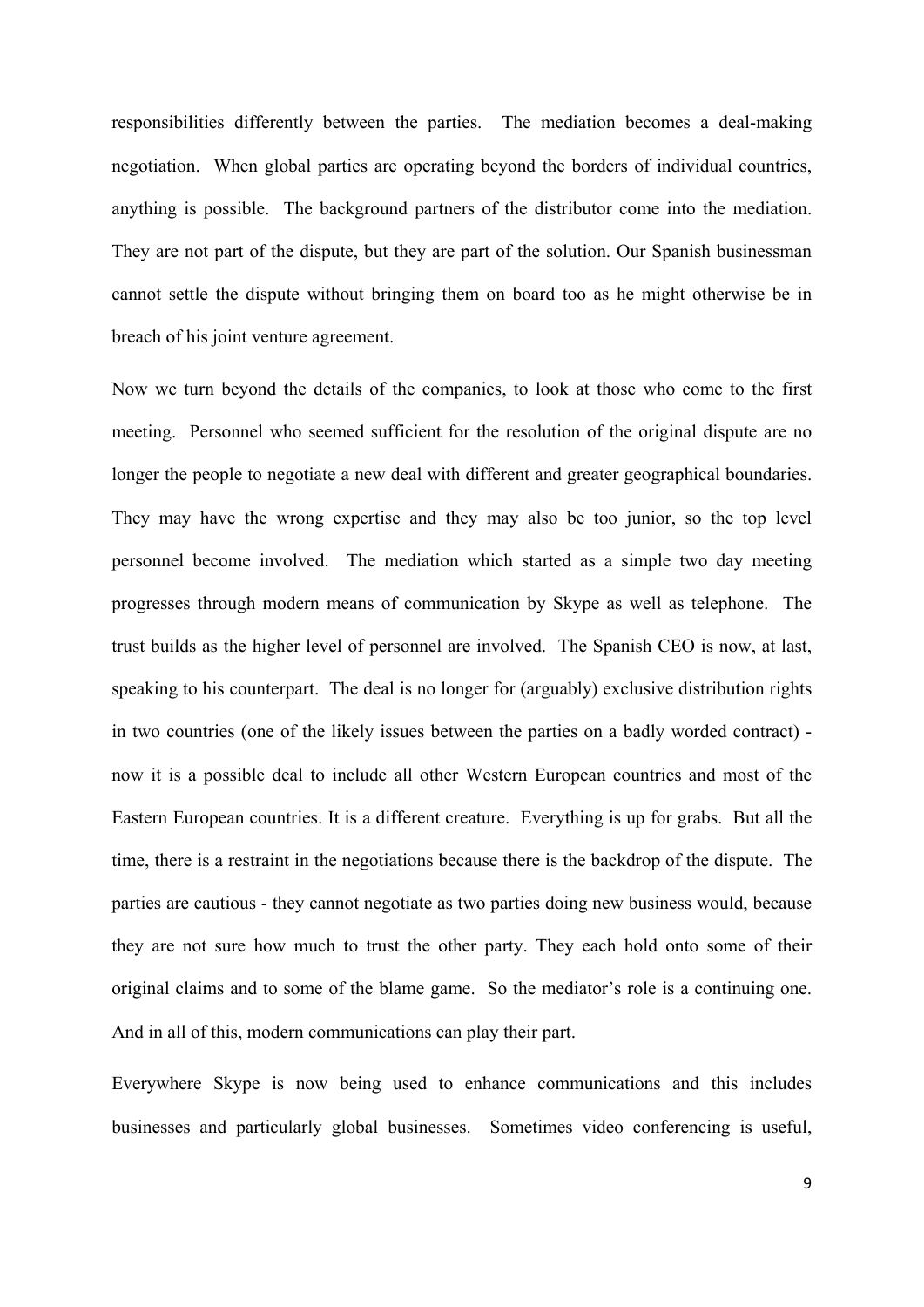responsibilities differently between the parties. The mediation becomes a deal-making negotiation. When global parties are operating beyond the borders of individual countries, anything is possible. The background partners of the distributor come into the mediation. They are not part of the dispute, but they are part of the solution. Our Spanish businessman cannot settle the dispute without bringing them on board too as he might otherwise be in breach of his joint venture agreement.

Now we turn beyond the details of the companies, to look at those who come to the first meeting. Personnel who seemed sufficient for the resolution of the original dispute are no longer the people to negotiate a new deal with different and greater geographical boundaries. They may have the wrong expertise and they may also be too junior, so the top level personnel become involved. The mediation which started as a simple two day meeting progresses through modern means of communication by Skype as well as telephone. The trust builds as the higher level of personnel are involved. The Spanish CEO is now, at last, speaking to his counterpart. The deal is no longer for (arguably) exclusive distribution rights in two countries (one of the likely issues between the parties on a badly worded contract) now it is a possible deal to include all other Western European countries and most of the Eastern European countries. It is a different creature. Everything is up for grabs. But all the time, there is a restraint in the negotiations because there is the backdrop of the dispute. The parties are cautious - they cannot negotiate as two parties doing new business would, because they are not sure how much to trust the other party. They each hold onto some of their original claims and to some of the blame game. So the mediator's role is a continuing one. And in all of this, modern communications can play their part.

Everywhere Skype is now being used to enhance communications and this includes businesses and particularly global businesses. Sometimes video conferencing is useful,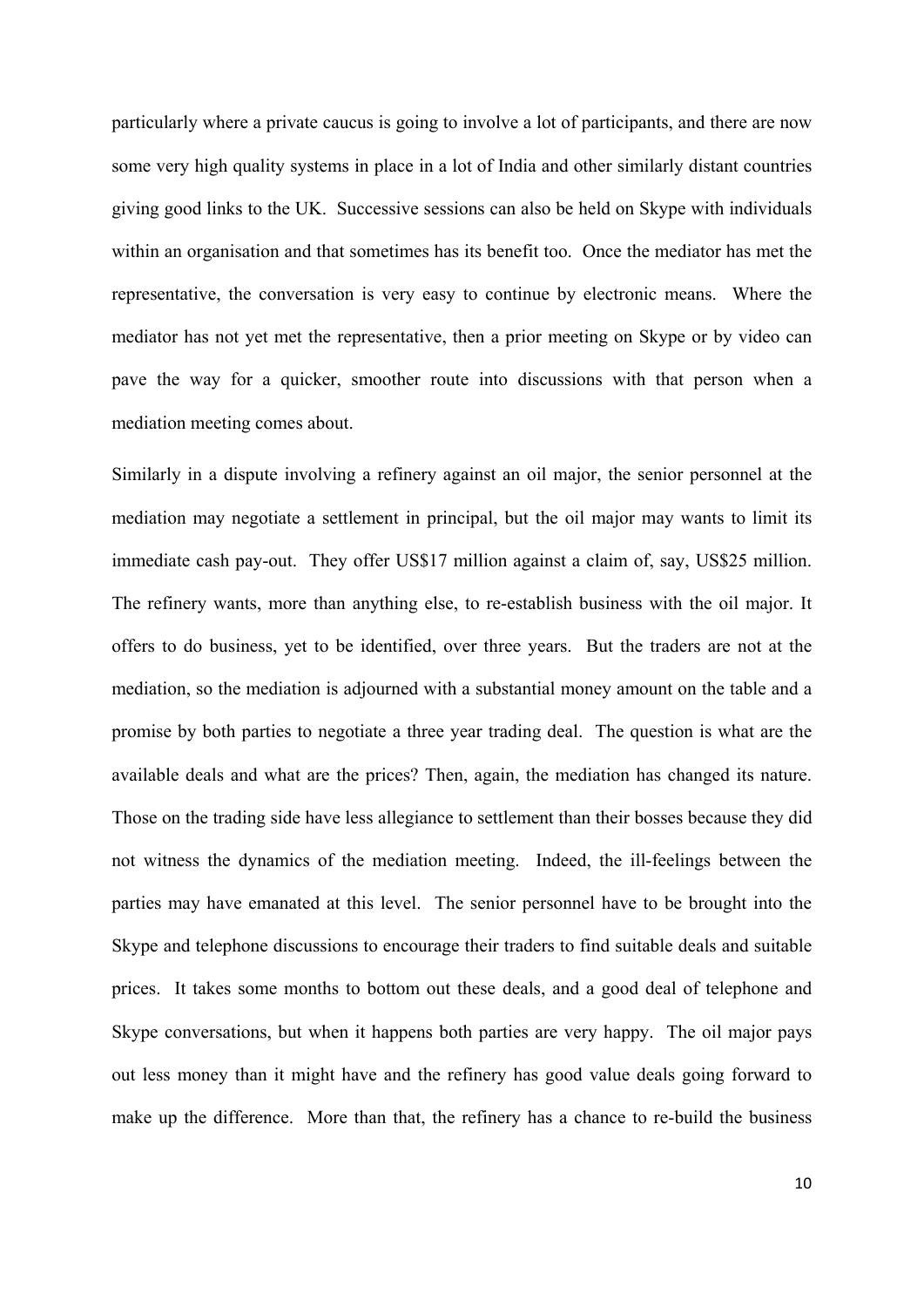particularly where a private caucus is going to involve a lot of participants, and there are now some very high quality systems in place in a lot of India and other similarly distant countries giving good links to the UK. Successive sessions can also be held on Skype with individuals within an organisation and that sometimes has its benefit too. Once the mediator has met the representative, the conversation is very easy to continue by electronic means. Where the mediator has not yet met the representative, then a prior meeting on Skype or by video can pave the way for a quicker, smoother route into discussions with that person when a mediation meeting comes about.

Similarly in a dispute involving a refinery against an oil major, the senior personnel at the mediation may negotiate a settlement in principal, but the oil major may wants to limit its immediate cash pay-out. They offer US\$17 million against a claim of, say, US\$25 million. The refinery wants, more than anything else, to re-establish business with the oil major. It offers to do business, yet to be identified, over three years. But the traders are not at the mediation, so the mediation is adjourned with a substantial money amount on the table and a promise by both parties to negotiate a three year trading deal. The question is what are the available deals and what are the prices? Then, again, the mediation has changed its nature. Those on the trading side have less allegiance to settlement than their bosses because they did not witness the dynamics of the mediation meeting. Indeed, the ill-feelings between the parties may have emanated at this level. The senior personnel have to be brought into the Skype and telephone discussions to encourage their traders to find suitable deals and suitable prices. It takes some months to bottom out these deals, and a good deal of telephone and Skype conversations, but when it happens both parties are very happy. The oil major pays out less money than it might have and the refinery has good value deals going forward to make up the difference. More than that, the refinery has a chance to re-build the business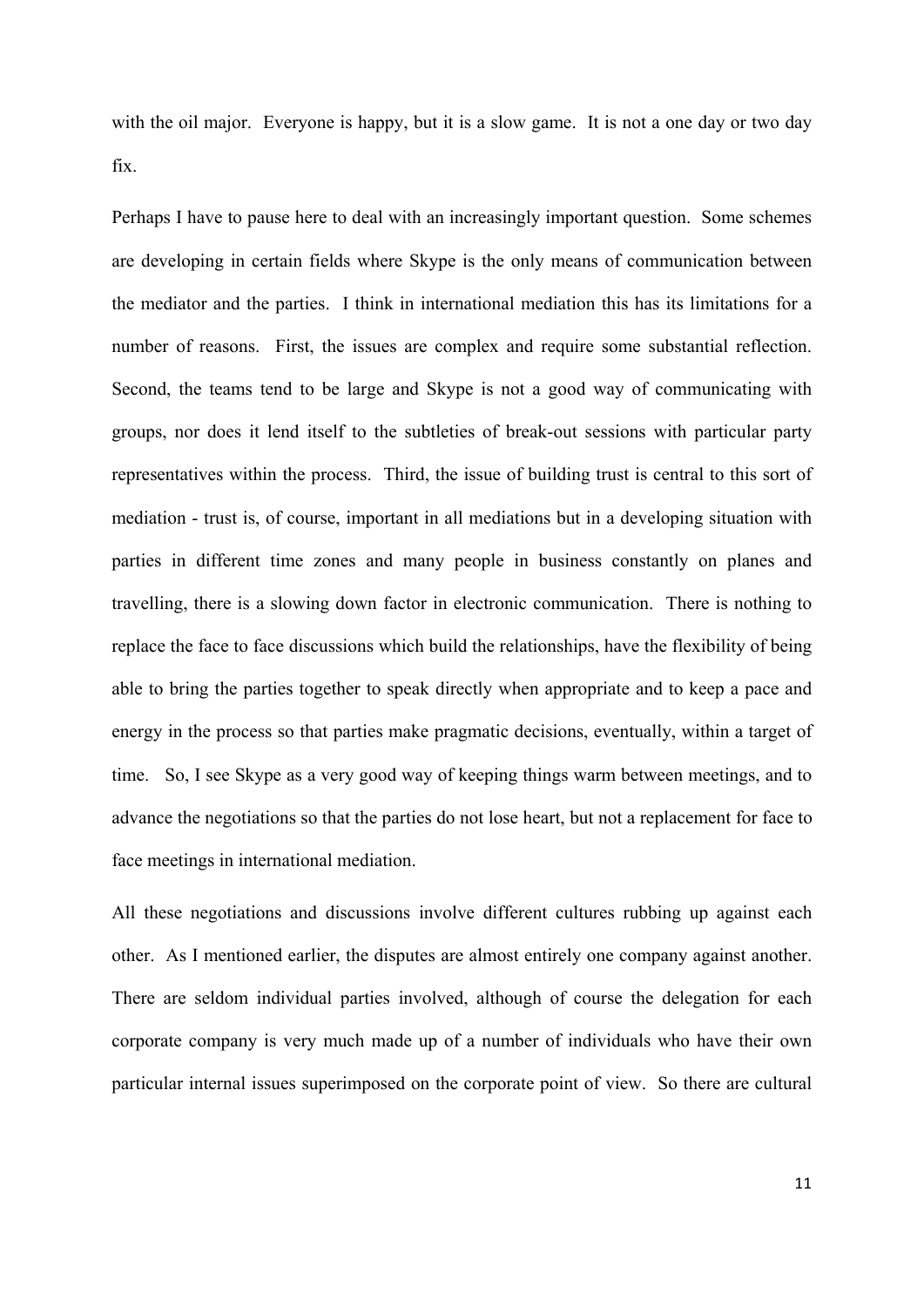with the oil major. Everyone is happy, but it is a slow game. It is not a one day or two day fix.

Perhaps I have to pause here to deal with an increasingly important question. Some schemes are developing in certain fields where Skype is the only means of communication between the mediator and the parties. I think in international mediation this has its limitations for a number of reasons. First, the issues are complex and require some substantial reflection. Second, the teams tend to be large and Skype is not a good way of communicating with groups, nor does it lend itself to the subtleties of break-out sessions with particular party representatives within the process. Third, the issue of building trust is central to this sort of mediation - trust is, of course, important in all mediations but in a developing situation with parties in different time zones and many people in business constantly on planes and travelling, there is a slowing down factor in electronic communication. There is nothing to replace the face to face discussions which build the relationships, have the flexibility of being able to bring the parties together to speak directly when appropriate and to keep a pace and energy in the process so that parties make pragmatic decisions, eventually, within a target of time. So, I see Skype as a very good way of keeping things warm between meetings, and to advance the negotiations so that the parties do not lose heart, but not a replacement for face to face meetings in international mediation.

All these negotiations and discussions involve different cultures rubbing up against each other. As I mentioned earlier, the disputes are almost entirely one company against another. There are seldom individual parties involved, although of course the delegation for each corporate company is very much made up of a number of individuals who have their own particular internal issues superimposed on the corporate point of view. So there are cultural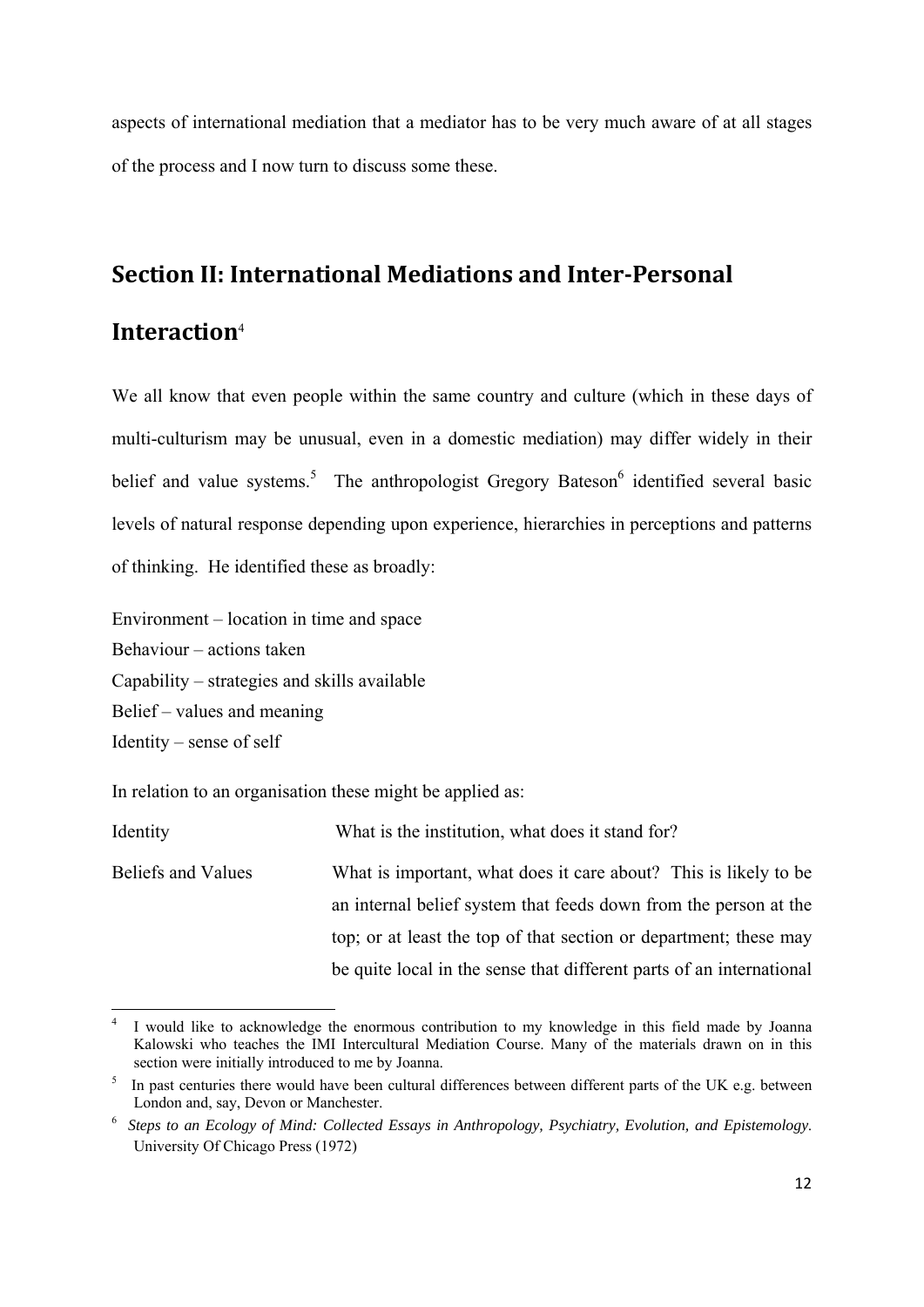aspects of international mediation that a mediator has to be very much aware of at all stages of the process and I now turn to discuss some these.

#### **Section II: International Mediations and Inter‐Personal**

#### **Interaction**<sup>4</sup>

We all know that even people within the same country and culture (which in these days of multi-culturism may be unusual, even in a domestic mediation) may differ widely in their belief and value systems.<sup>5</sup> The anthropologist Gregory Bateson<sup>6</sup> identified several basic levels of natural response depending upon experience, hierarchies in perceptions and patterns of thinking. He identified these as broadly:

Environment – location in time and space Behaviour – actions taken Capability – strategies and skills available Belief – values and meaning Identity – sense of self

In relation to an organisation these might be applied as:

| Identity           | What is the institution, what does it stand for?                     |
|--------------------|----------------------------------------------------------------------|
| Beliefs and Values | What is important, what does it care about? This is likely to be     |
|                    | an internal belief system that feeds down from the person at the     |
|                    | top; or at least the top of that section or department; these may    |
|                    | be quite local in the sense that different parts of an international |

 4 I would like to acknowledge the enormous contribution to my knowledge in this field made by Joanna Kalowski who teaches the IMI Intercultural Mediation Course. Many of the materials drawn on in this section were initially introduced to me by Joanna.

<sup>&</sup>lt;sup>5</sup> In past centuries there would have been cultural differences between different parts of the UK e.g. between London and, say, Devon or Manchester.

<sup>6</sup> *Steps to an Ecology of Mind: Collected Essays in Anthropology, Psychiatry, Evolution, and Epistemology*. University Of Chicago Press (1972)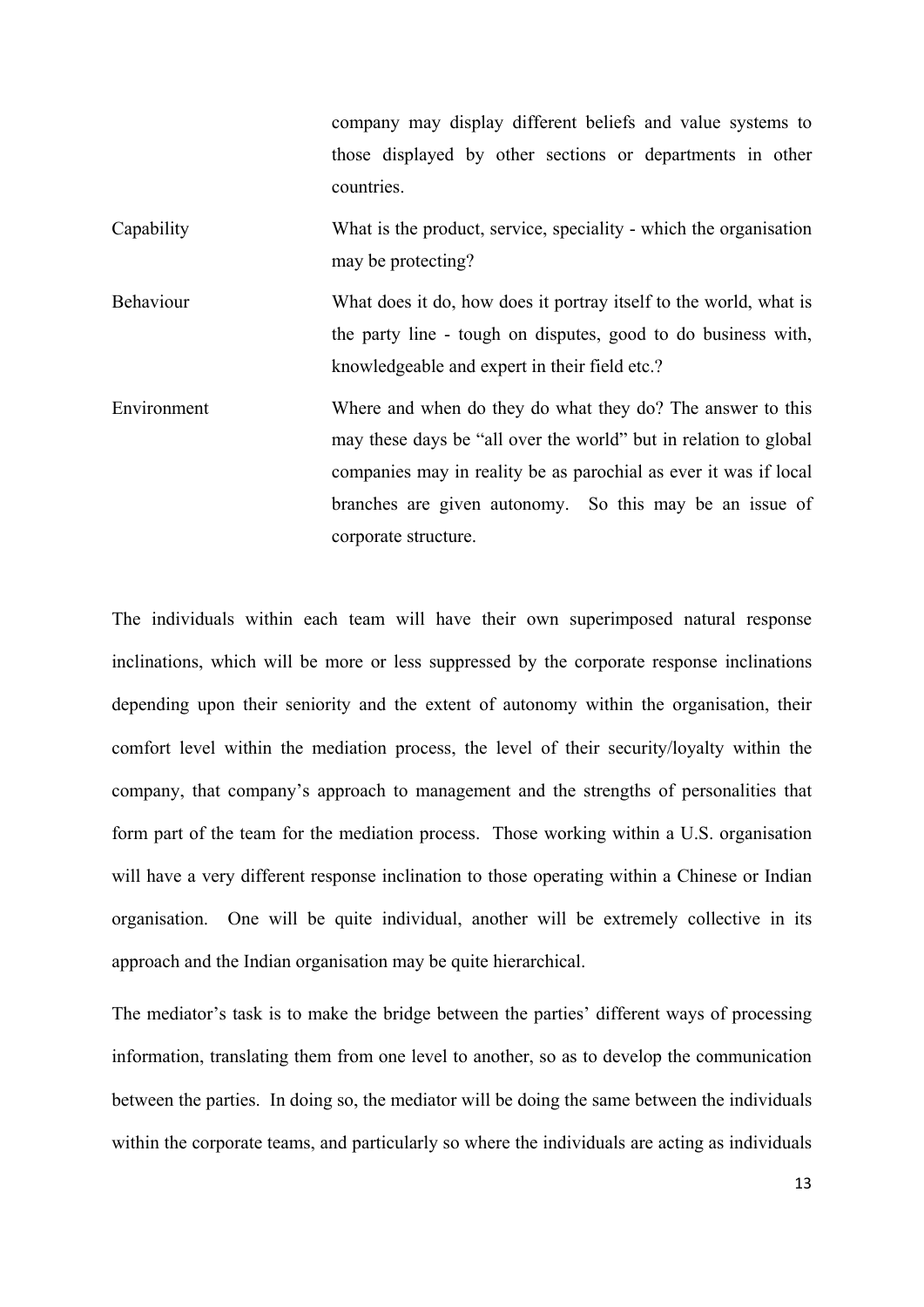company may display different beliefs and value systems to those displayed by other sections or departments in other countries. Capability What is the product, service, speciality - which the organisation may be protecting? Behaviour What does it do, how does it portray itself to the world, what is the party line - tough on disputes, good to do business with, knowledgeable and expert in their field etc.? Environment Where and when do they do what they do? The answer to this may these days be "all over the world" but in relation to global companies may in reality be as parochial as ever it was if local branches are given autonomy. So this may be an issue of

corporate structure.

The individuals within each team will have their own superimposed natural response inclinations, which will be more or less suppressed by the corporate response inclinations depending upon their seniority and the extent of autonomy within the organisation, their comfort level within the mediation process, the level of their security/loyalty within the company, that company's approach to management and the strengths of personalities that form part of the team for the mediation process. Those working within a U.S. organisation will have a very different response inclination to those operating within a Chinese or Indian organisation. One will be quite individual, another will be extremely collective in its approach and the Indian organisation may be quite hierarchical.

The mediator's task is to make the bridge between the parties' different ways of processing information, translating them from one level to another, so as to develop the communication between the parties. In doing so, the mediator will be doing the same between the individuals within the corporate teams, and particularly so where the individuals are acting as individuals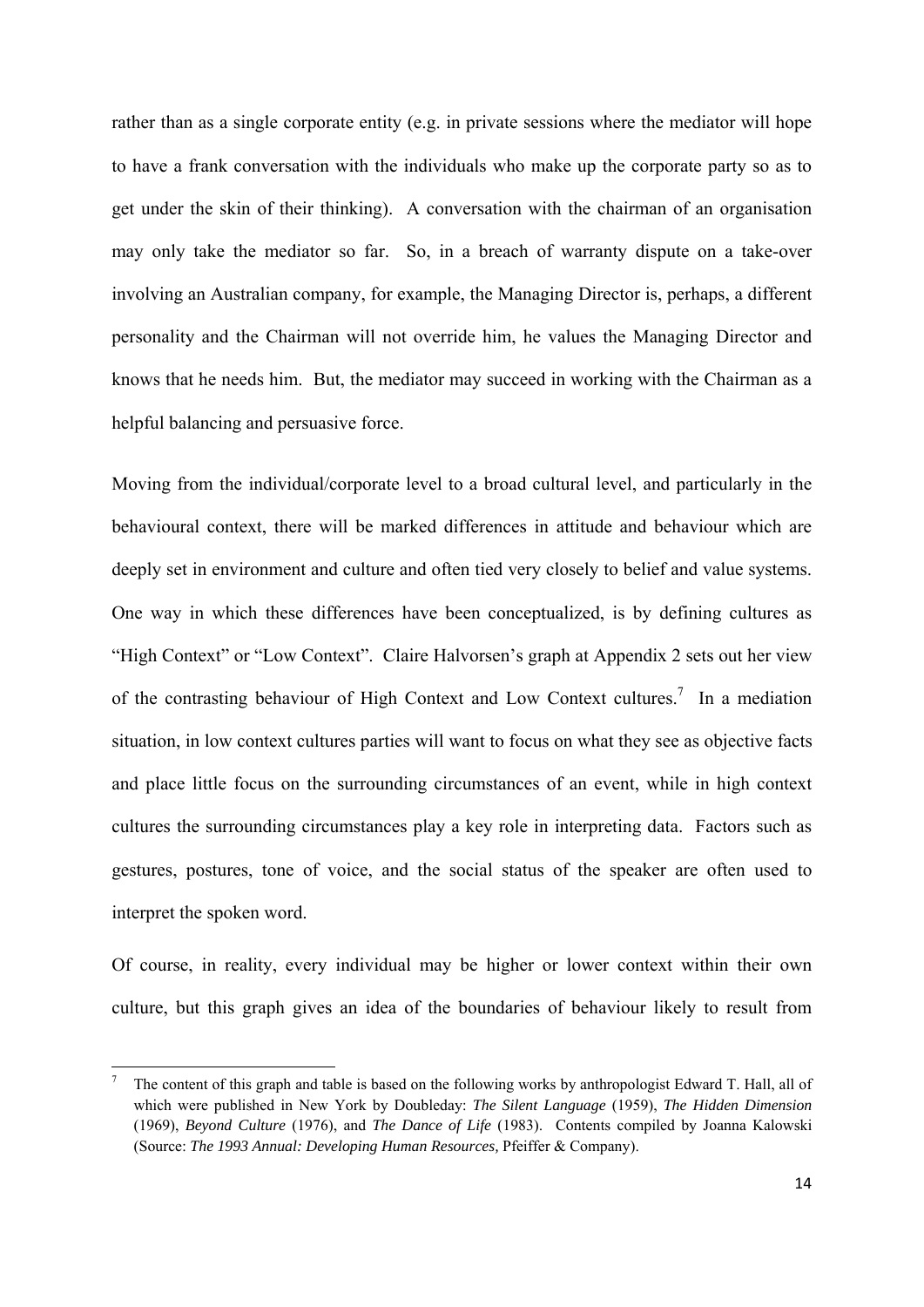rather than as a single corporate entity (e.g. in private sessions where the mediator will hope to have a frank conversation with the individuals who make up the corporate party so as to get under the skin of their thinking). A conversation with the chairman of an organisation may only take the mediator so far. So, in a breach of warranty dispute on a take-over involving an Australian company, for example, the Managing Director is, perhaps, a different personality and the Chairman will not override him, he values the Managing Director and knows that he needs him. But, the mediator may succeed in working with the Chairman as a helpful balancing and persuasive force.

Moving from the individual/corporate level to a broad cultural level, and particularly in the behavioural context, there will be marked differences in attitude and behaviour which are deeply set in environment and culture and often tied very closely to belief and value systems. One way in which these differences have been conceptualized, is by defining cultures as "High Context" or "Low Context". Claire Halvorsen's graph at Appendix 2 sets out her view of the contrasting behaviour of High Context and Low Context cultures.<sup>7</sup> In a mediation situation, in low context cultures parties will want to focus on what they see as objective facts and place little focus on the surrounding circumstances of an event, while in high context cultures the surrounding circumstances play a key role in interpreting data. Factors such as gestures, postures, tone of voice, and the social status of the speaker are often used to interpret the spoken word.

Of course, in reality, every individual may be higher or lower context within their own culture, but this graph gives an idea of the boundaries of behaviour likely to result from

<sup>7</sup> The content of this graph and table is based on the following works by anthropologist Edward T. Hall, all of which were published in New York by Doubleday: *The Silent Language* (1959), *The Hidden Dimension* (1969), *Beyond Culture* (1976), and *The Dance of Life* (1983). Contents compiled by Joanna Kalowski (Source: *The 1993 Annual: Developing Human Resources,* Pfeiffer & Company).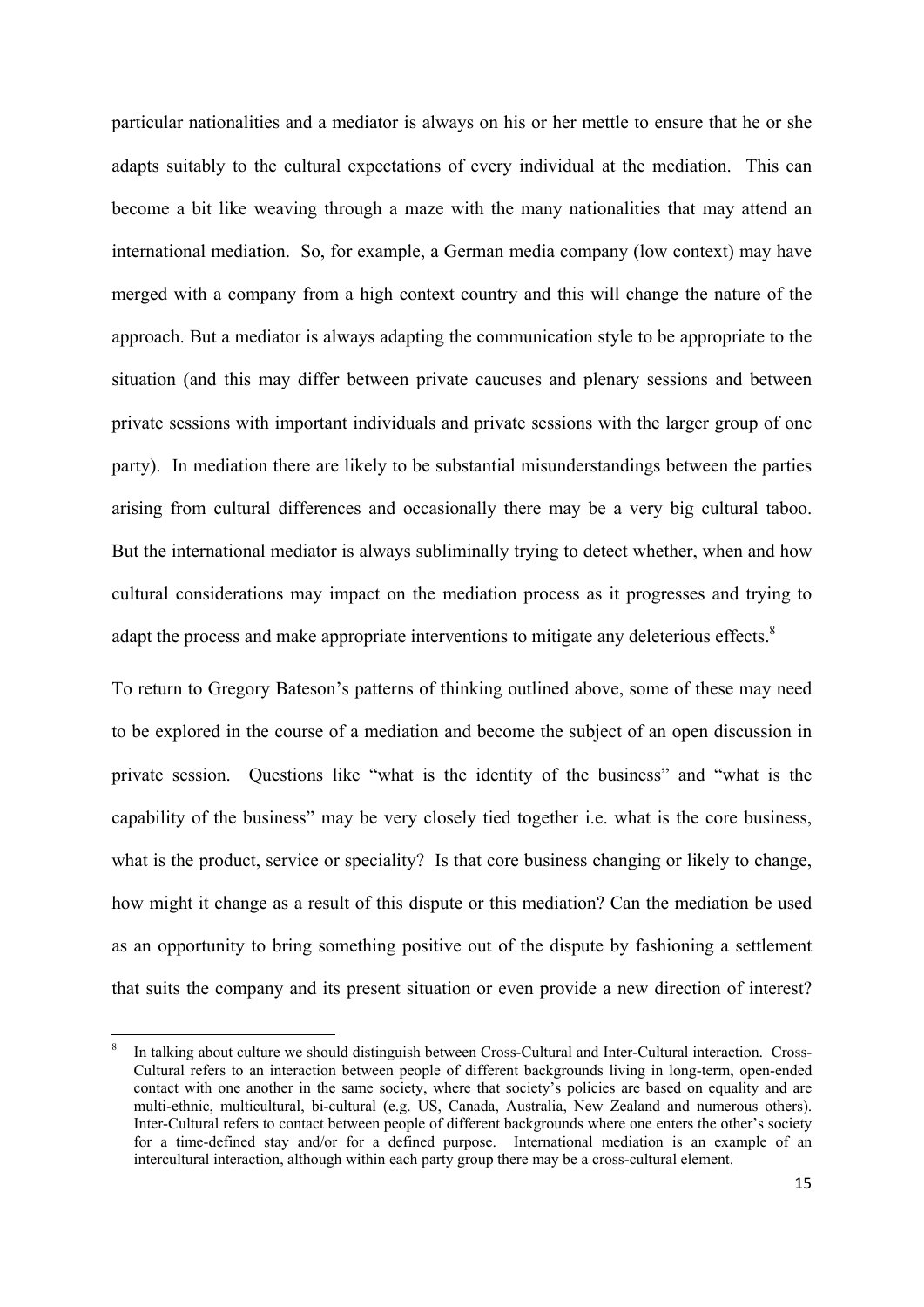particular nationalities and a mediator is always on his or her mettle to ensure that he or she adapts suitably to the cultural expectations of every individual at the mediation. This can become a bit like weaving through a maze with the many nationalities that may attend an international mediation. So, for example, a German media company (low context) may have merged with a company from a high context country and this will change the nature of the approach. But a mediator is always adapting the communication style to be appropriate to the situation (and this may differ between private caucuses and plenary sessions and between private sessions with important individuals and private sessions with the larger group of one party). In mediation there are likely to be substantial misunderstandings between the parties arising from cultural differences and occasionally there may be a very big cultural taboo. But the international mediator is always subliminally trying to detect whether, when and how cultural considerations may impact on the mediation process as it progresses and trying to adapt the process and make appropriate interventions to mitigate any deleterious effects.<sup>8</sup>

To return to Gregory Bateson's patterns of thinking outlined above, some of these may need to be explored in the course of a mediation and become the subject of an open discussion in private session. Questions like "what is the identity of the business" and "what is the capability of the business" may be very closely tied together i.e. what is the core business, what is the product, service or speciality? Is that core business changing or likely to change, how might it change as a result of this dispute or this mediation? Can the mediation be used as an opportunity to bring something positive out of the dispute by fashioning a settlement that suits the company and its present situation or even provide a new direction of interest?

<sup>8</sup> In talking about culture we should distinguish between Cross-Cultural and Inter-Cultural interaction. Cross-Cultural refers to an interaction between people of different backgrounds living in long-term, open-ended contact with one another in the same society, where that society's policies are based on equality and are multi-ethnic, multicultural, bi-cultural (e.g. US, Canada, Australia, New Zealand and numerous others). Inter-Cultural refers to contact between people of different backgrounds where one enters the other's society for a time-defined stay and/or for a defined purpose. International mediation is an example of an intercultural interaction, although within each party group there may be a cross-cultural element.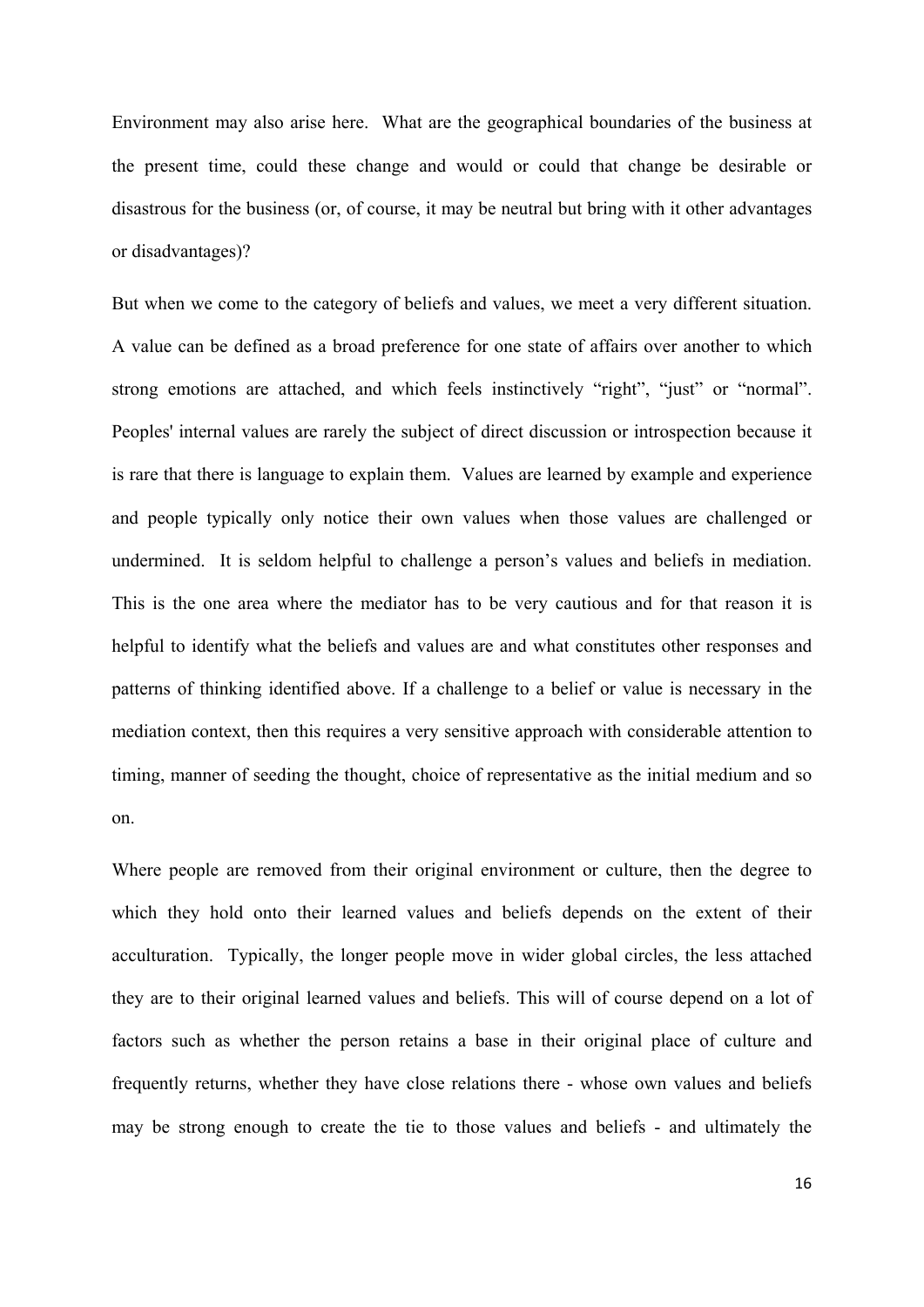Environment may also arise here. What are the geographical boundaries of the business at the present time, could these change and would or could that change be desirable or disastrous for the business (or, of course, it may be neutral but bring with it other advantages or disadvantages)?

But when we come to the category of beliefs and values, we meet a very different situation. A value can be defined as a broad preference for one state of affairs over another to which strong emotions are attached, and which feels instinctively "right", "just" or "normal". Peoples' internal values are rarely the subject of direct discussion or introspection because it is rare that there is language to explain them. Values are learned by example and experience and people typically only notice their own values when those values are challenged or undermined. It is seldom helpful to challenge a person's values and beliefs in mediation. This is the one area where the mediator has to be very cautious and for that reason it is helpful to identify what the beliefs and values are and what constitutes other responses and patterns of thinking identified above. If a challenge to a belief or value is necessary in the mediation context, then this requires a very sensitive approach with considerable attention to timing, manner of seeding the thought, choice of representative as the initial medium and so on.

Where people are removed from their original environment or culture, then the degree to which they hold onto their learned values and beliefs depends on the extent of their acculturation. Typically, the longer people move in wider global circles, the less attached they are to their original learned values and beliefs. This will of course depend on a lot of factors such as whether the person retains a base in their original place of culture and frequently returns, whether they have close relations there - whose own values and beliefs may be strong enough to create the tie to those values and beliefs - and ultimately the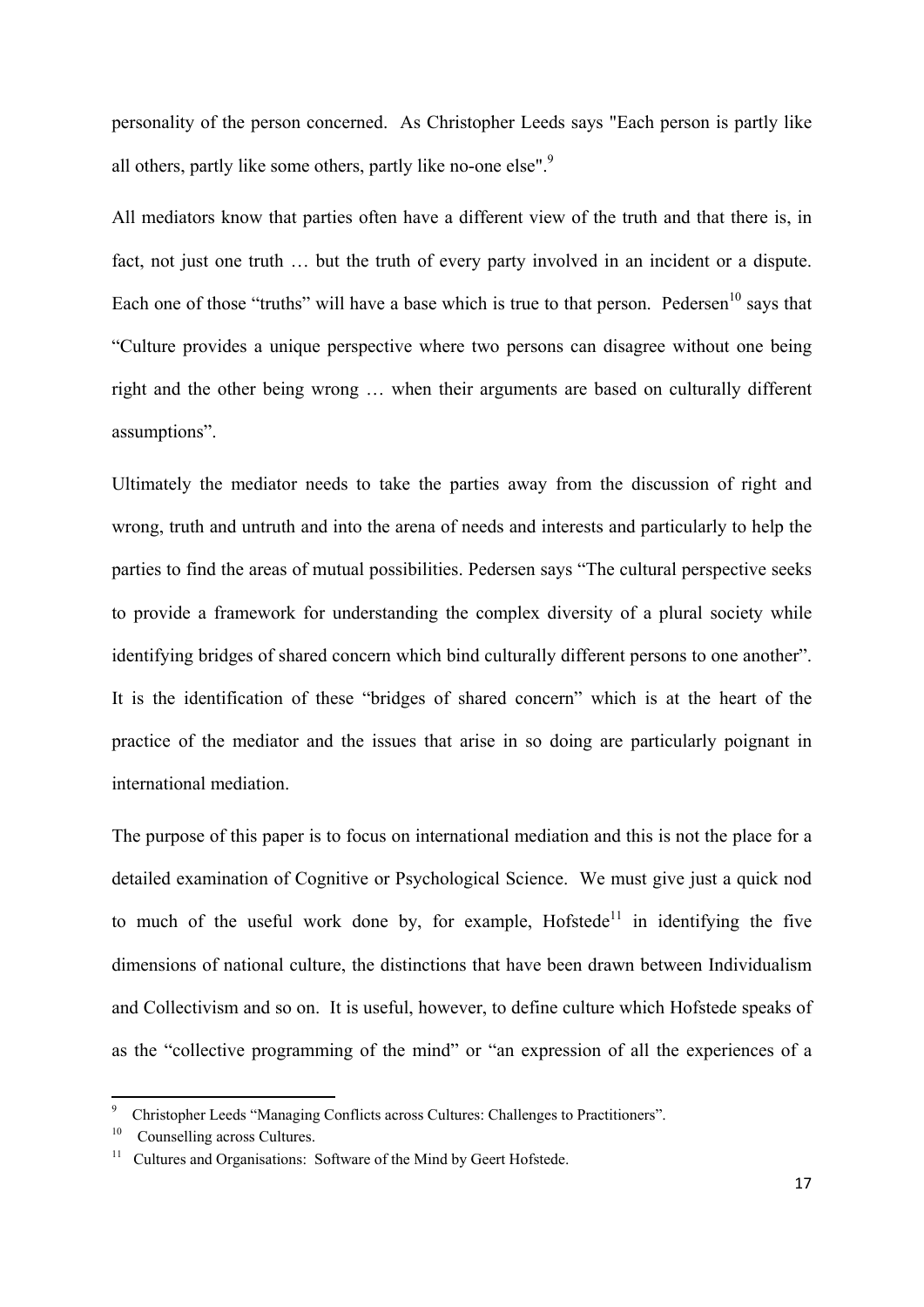personality of the person concerned. As Christopher Leeds says "Each person is partly like all others, partly like some others, partly like no-one else".<sup>9</sup>

All mediators know that parties often have a different view of the truth and that there is, in fact, not just one truth … but the truth of every party involved in an incident or a dispute. Each one of those "truths" will have a base which is true to that person. Pedersen<sup>10</sup> says that "Culture provides a unique perspective where two persons can disagree without one being right and the other being wrong … when their arguments are based on culturally different assumptions".

Ultimately the mediator needs to take the parties away from the discussion of right and wrong, truth and untruth and into the arena of needs and interests and particularly to help the parties to find the areas of mutual possibilities. Pedersen says "The cultural perspective seeks to provide a framework for understanding the complex diversity of a plural society while identifying bridges of shared concern which bind culturally different persons to one another". It is the identification of these "bridges of shared concern" which is at the heart of the practice of the mediator and the issues that arise in so doing are particularly poignant in international mediation.

The purpose of this paper is to focus on international mediation and this is not the place for a detailed examination of Cognitive or Psychological Science. We must give just a quick nod to much of the useful work done by, for example,  $Hofstede<sup>11</sup>$  in identifying the five dimensions of national culture, the distinctions that have been drawn between Individualism and Collectivism and so on. It is useful, however, to define culture which Hofstede speaks of as the "collective programming of the mind" or "an expression of all the experiences of a

<sup>9</sup> Christopher Leeds "Managing Conflicts across Cultures: Challenges to Practitioners".

<sup>&</sup>lt;sup>10</sup> Counselling across Cultures.

<sup>&</sup>lt;sup>11</sup> Cultures and Organisations: Software of the Mind by Geert Hofstede.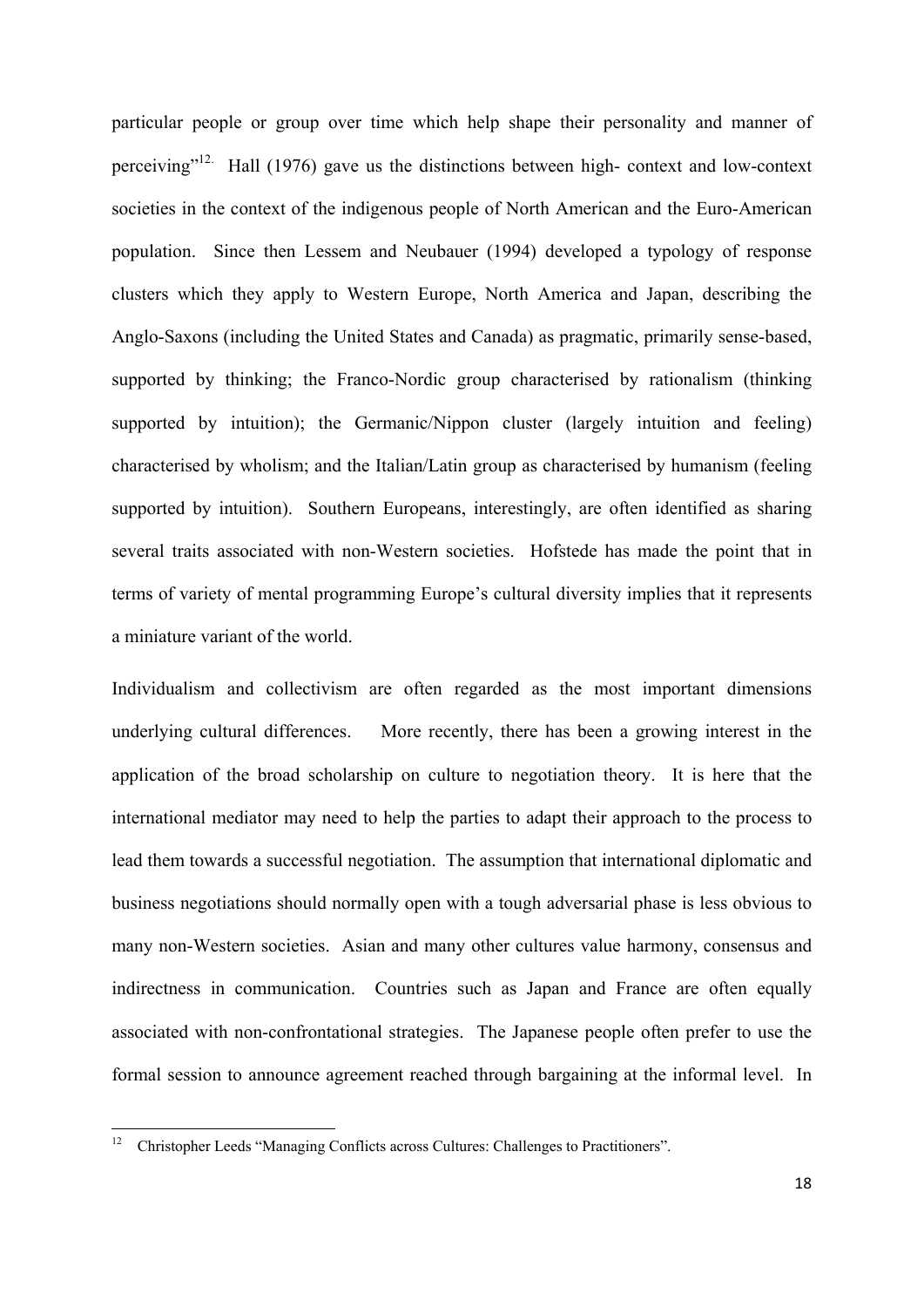particular people or group over time which help shape their personality and manner of perceiving"<sup>12.</sup> Hall (1976) gave us the distinctions between high- context and low-context societies in the context of the indigenous people of North American and the Euro-American population. Since then Lessem and Neubauer (1994) developed a typology of response clusters which they apply to Western Europe, North America and Japan, describing the Anglo-Saxons (including the United States and Canada) as pragmatic, primarily sense-based, supported by thinking; the Franco-Nordic group characterised by rationalism (thinking supported by intuition); the Germanic/Nippon cluster (largely intuition and feeling) characterised by wholism; and the Italian/Latin group as characterised by humanism (feeling supported by intuition). Southern Europeans, interestingly, are often identified as sharing several traits associated with non-Western societies. Hofstede has made the point that in terms of variety of mental programming Europe's cultural diversity implies that it represents a miniature variant of the world.

Individualism and collectivism are often regarded as the most important dimensions underlying cultural differences. More recently, there has been a growing interest in the application of the broad scholarship on culture to negotiation theory. It is here that the international mediator may need to help the parties to adapt their approach to the process to lead them towards a successful negotiation. The assumption that international diplomatic and business negotiations should normally open with a tough adversarial phase is less obvious to many non-Western societies. Asian and many other cultures value harmony, consensus and indirectness in communication. Countries such as Japan and France are often equally associated with non-confrontational strategies. The Japanese people often prefer to use the formal session to announce agreement reached through bargaining at the informal level. In

<sup>12</sup> Christopher Leeds "Managing Conflicts across Cultures: Challenges to Practitioners".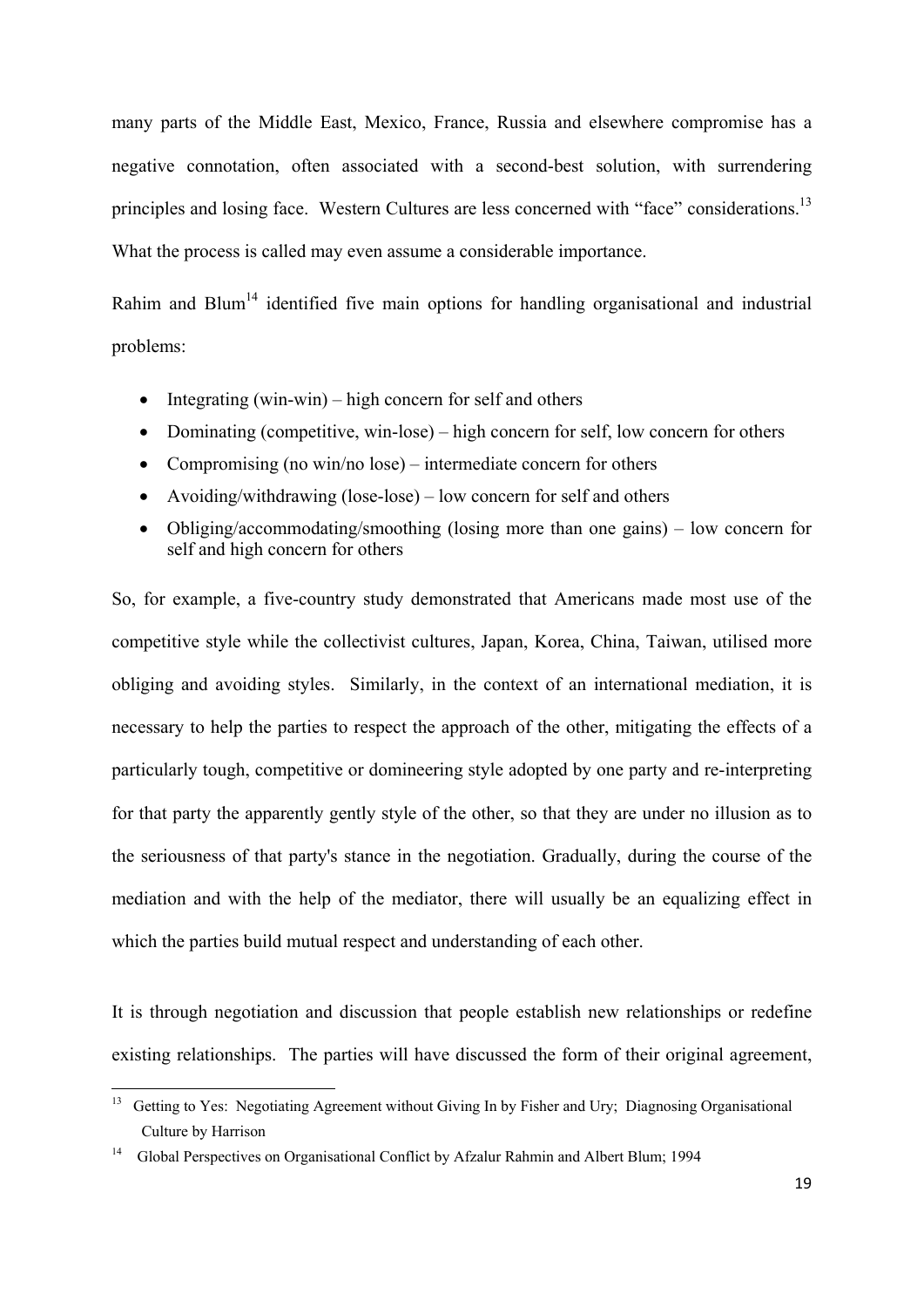many parts of the Middle East, Mexico, France, Russia and elsewhere compromise has a negative connotation, often associated with a second-best solution, with surrendering principles and losing face. Western Cultures are less concerned with "face" considerations.<sup>13</sup> What the process is called may even assume a considerable importance.

Rahim and Blum<sup>14</sup> identified five main options for handling organisational and industrial problems:

- $\bullet$  Integrating (win-win) high concern for self and others
- Dominating (competitive, win-lose) high concern for self, low concern for others
- Compromising (no win/no lose) intermediate concern for others
- Avoiding/withdrawing (lose-lose) low concern for self and others
- Obliging/accommodating/smoothing (losing more than one gains) low concern for self and high concern for others

So, for example, a five-country study demonstrated that Americans made most use of the competitive style while the collectivist cultures, Japan, Korea, China, Taiwan, utilised more obliging and avoiding styles. Similarly, in the context of an international mediation, it is necessary to help the parties to respect the approach of the other, mitigating the effects of a particularly tough, competitive or domineering style adopted by one party and re-interpreting for that party the apparently gently style of the other, so that they are under no illusion as to the seriousness of that party's stance in the negotiation. Gradually, during the course of the mediation and with the help of the mediator, there will usually be an equalizing effect in which the parties build mutual respect and understanding of each other.

It is through negotiation and discussion that people establish new relationships or redefine existing relationships. The parties will have discussed the form of their original agreement,

<sup>&</sup>lt;sup>13</sup> Getting to Yes: Negotiating Agreement without Giving In by Fisher and Ury; Diagnosing Organisational Culture by Harrison

<sup>&</sup>lt;sup>14</sup> Global Perspectives on Organisational Conflict by Afzalur Rahmin and Albert Blum; 1994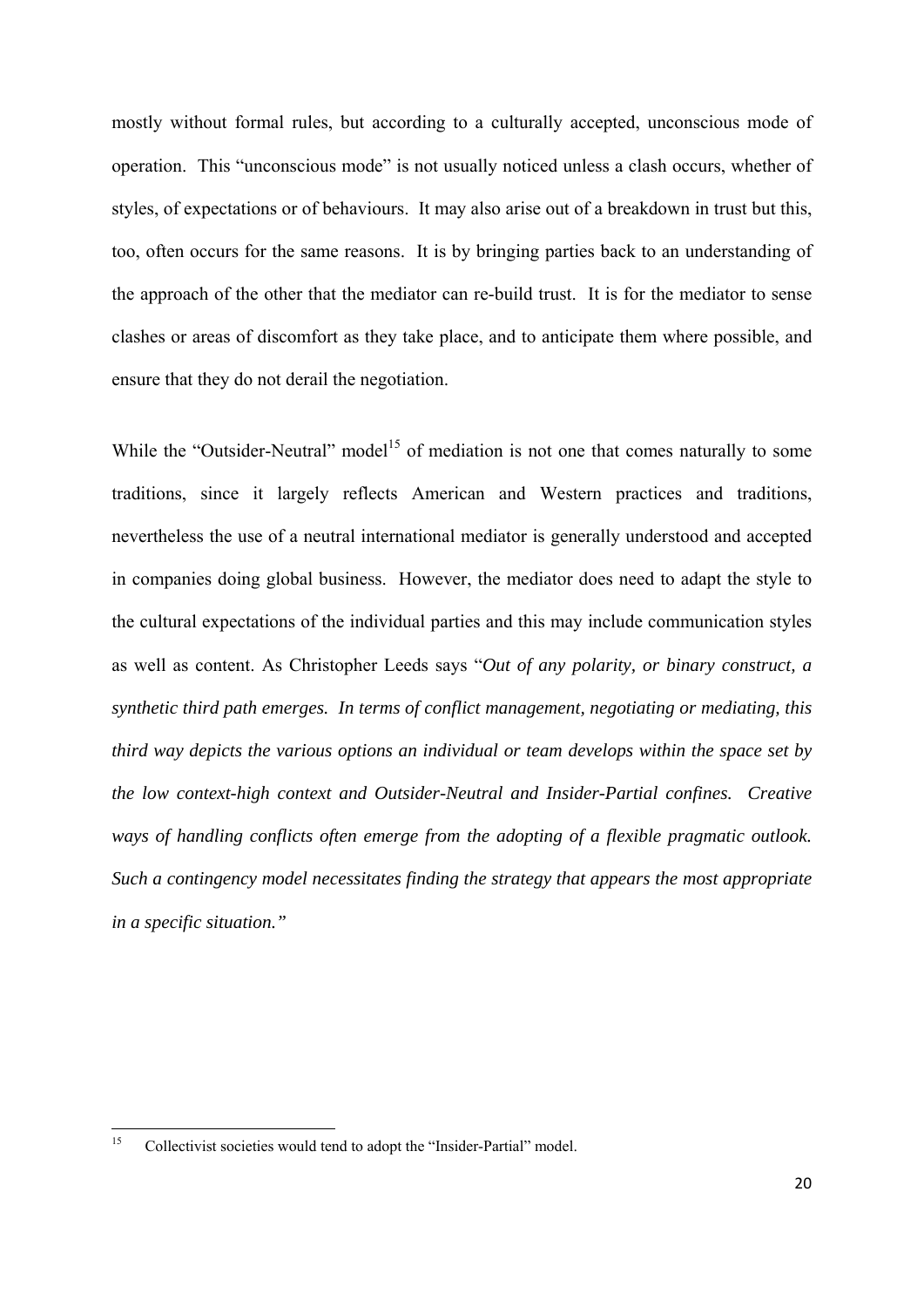mostly without formal rules, but according to a culturally accepted, unconscious mode of operation. This "unconscious mode" is not usually noticed unless a clash occurs, whether of styles, of expectations or of behaviours. It may also arise out of a breakdown in trust but this, too, often occurs for the same reasons. It is by bringing parties back to an understanding of the approach of the other that the mediator can re-build trust. It is for the mediator to sense clashes or areas of discomfort as they take place, and to anticipate them where possible, and ensure that they do not derail the negotiation.

While the "Outsider-Neutral" model<sup>15</sup> of mediation is not one that comes naturally to some traditions, since it largely reflects American and Western practices and traditions, nevertheless the use of a neutral international mediator is generally understood and accepted in companies doing global business. However, the mediator does need to adapt the style to the cultural expectations of the individual parties and this may include communication styles as well as content. As Christopher Leeds says "*Out of any polarity, or binary construct, a synthetic third path emerges. In terms of conflict management, negotiating or mediating, this third way depicts the various options an individual or team develops within the space set by the low context-high context and Outsider-Neutral and Insider-Partial confines. Creative ways of handling conflicts often emerge from the adopting of a flexible pragmatic outlook. Such a contingency model necessitates finding the strategy that appears the most appropriate in a specific situation."* 

<sup>&</sup>lt;sup>15</sup> Collectivist societies would tend to adopt the "Insider-Partial" model.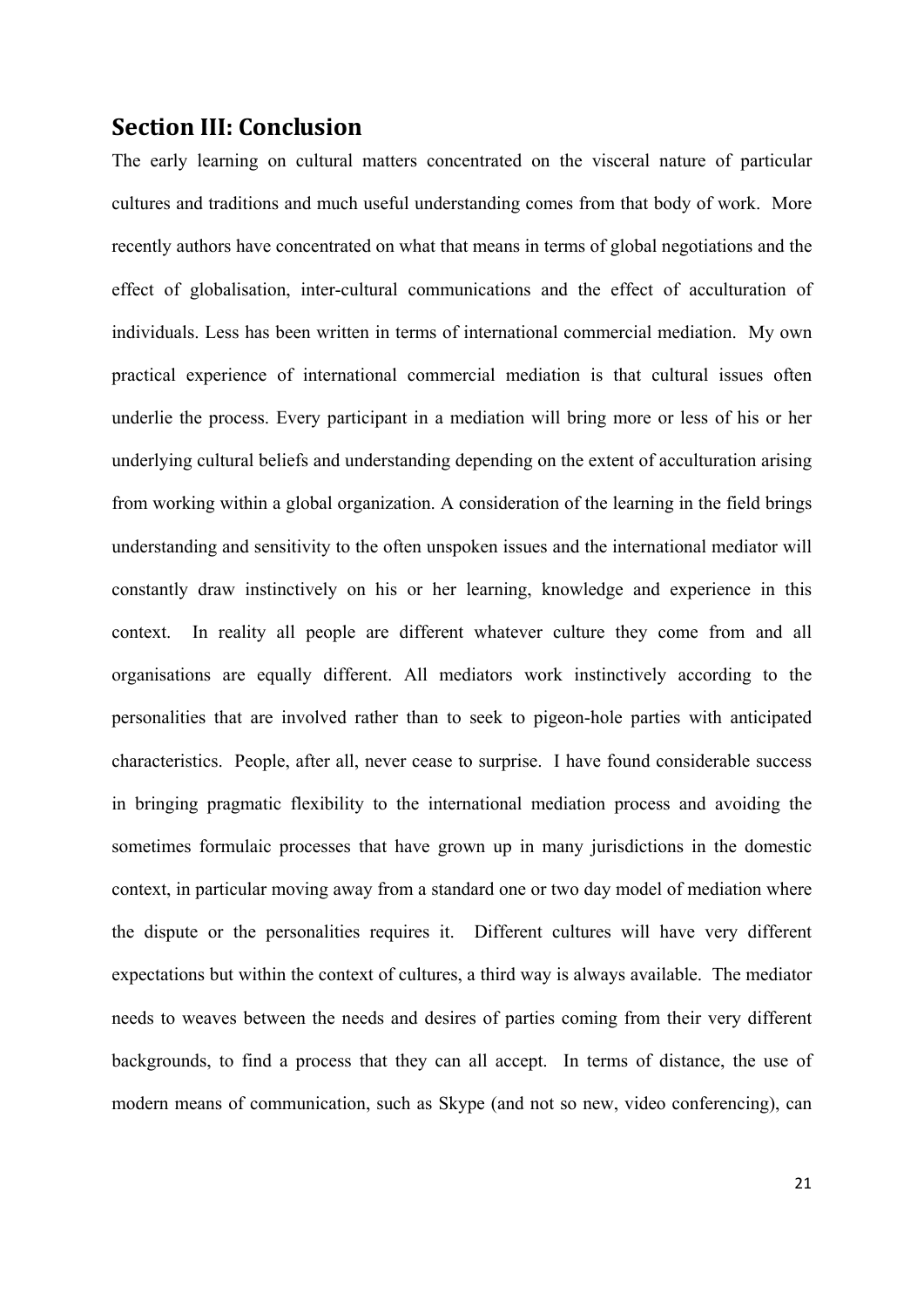#### **Section III: Conclusion**

The early learning on cultural matters concentrated on the visceral nature of particular cultures and traditions and much useful understanding comes from that body of work. More recently authors have concentrated on what that means in terms of global negotiations and the effect of globalisation, inter-cultural communications and the effect of acculturation of individuals. Less has been written in terms of international commercial mediation. My own practical experience of international commercial mediation is that cultural issues often underlie the process. Every participant in a mediation will bring more or less of his or her underlying cultural beliefs and understanding depending on the extent of acculturation arising from working within a global organization. A consideration of the learning in the field brings understanding and sensitivity to the often unspoken issues and the international mediator will constantly draw instinctively on his or her learning, knowledge and experience in this context. In reality all people are different whatever culture they come from and all organisations are equally different. All mediators work instinctively according to the personalities that are involved rather than to seek to pigeon-hole parties with anticipated characteristics. People, after all, never cease to surprise. I have found considerable success in bringing pragmatic flexibility to the international mediation process and avoiding the sometimes formulaic processes that have grown up in many jurisdictions in the domestic context, in particular moving away from a standard one or two day model of mediation where the dispute or the personalities requires it. Different cultures will have very different expectations but within the context of cultures, a third way is always available. The mediator needs to weaves between the needs and desires of parties coming from their very different backgrounds, to find a process that they can all accept. In terms of distance, the use of modern means of communication, such as Skype (and not so new, video conferencing), can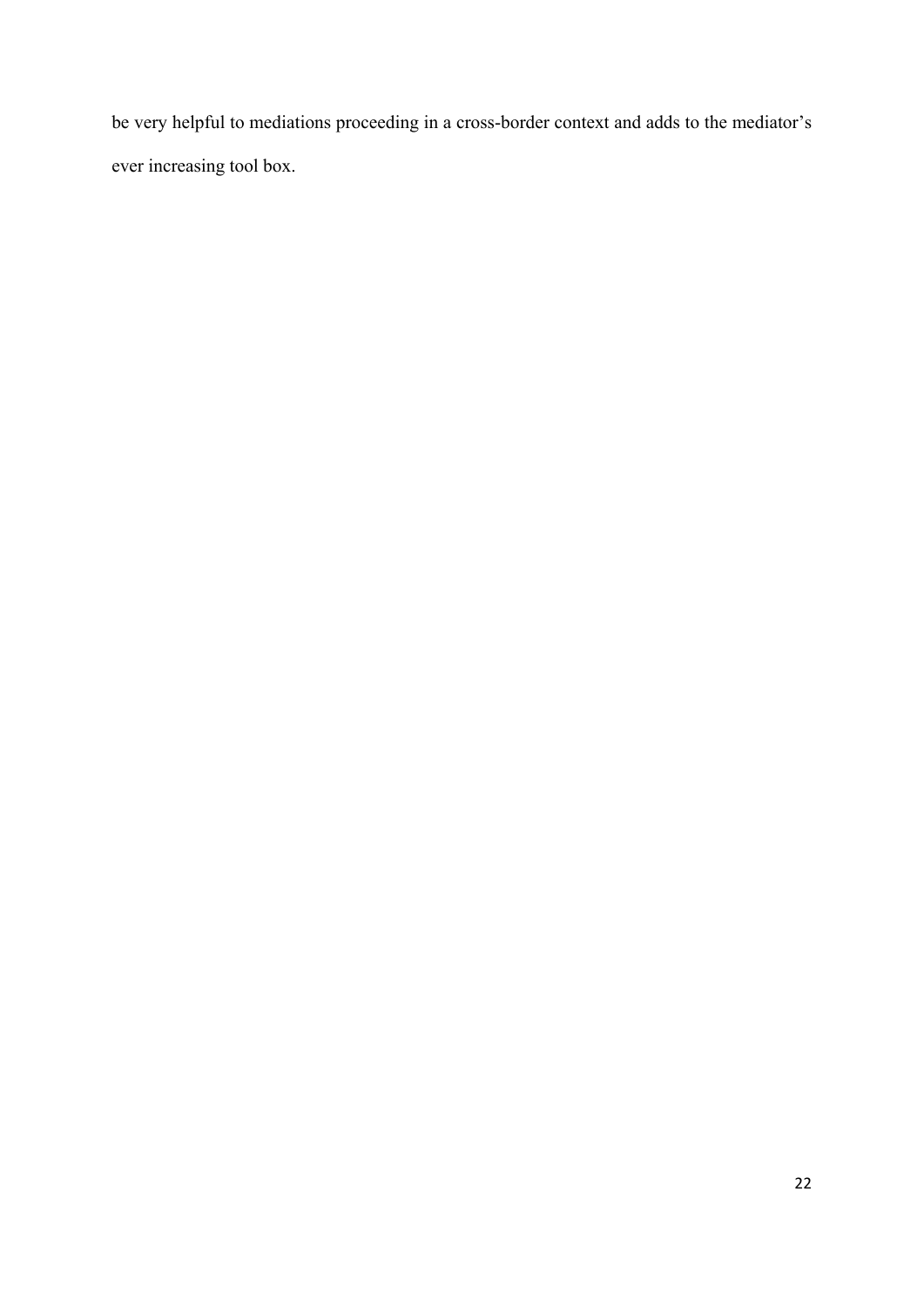be very helpful to mediations proceeding in a cross-border context and adds to the mediator's ever increasing tool box.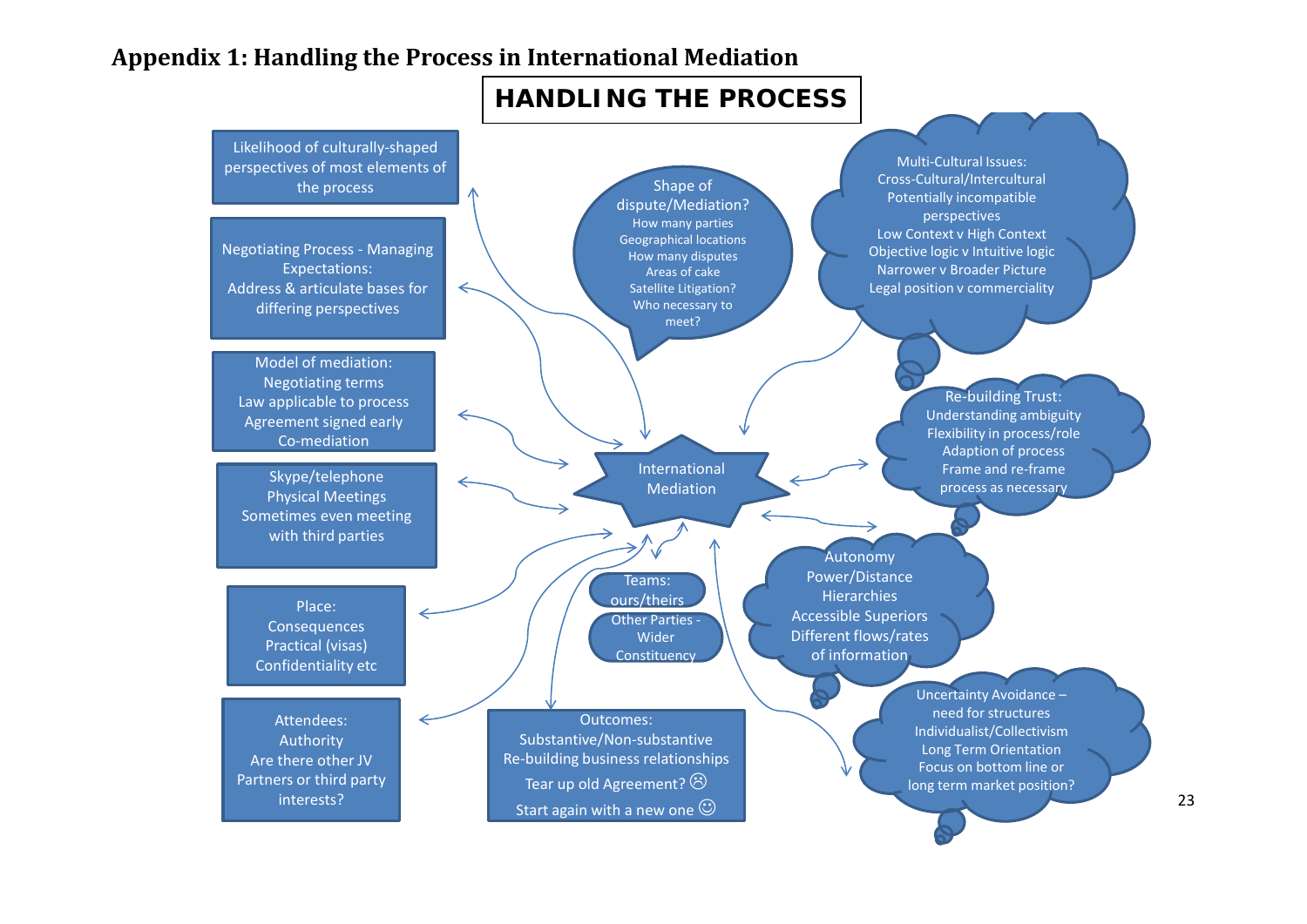# **Appendix 1: Handling the Process in International Mediation**

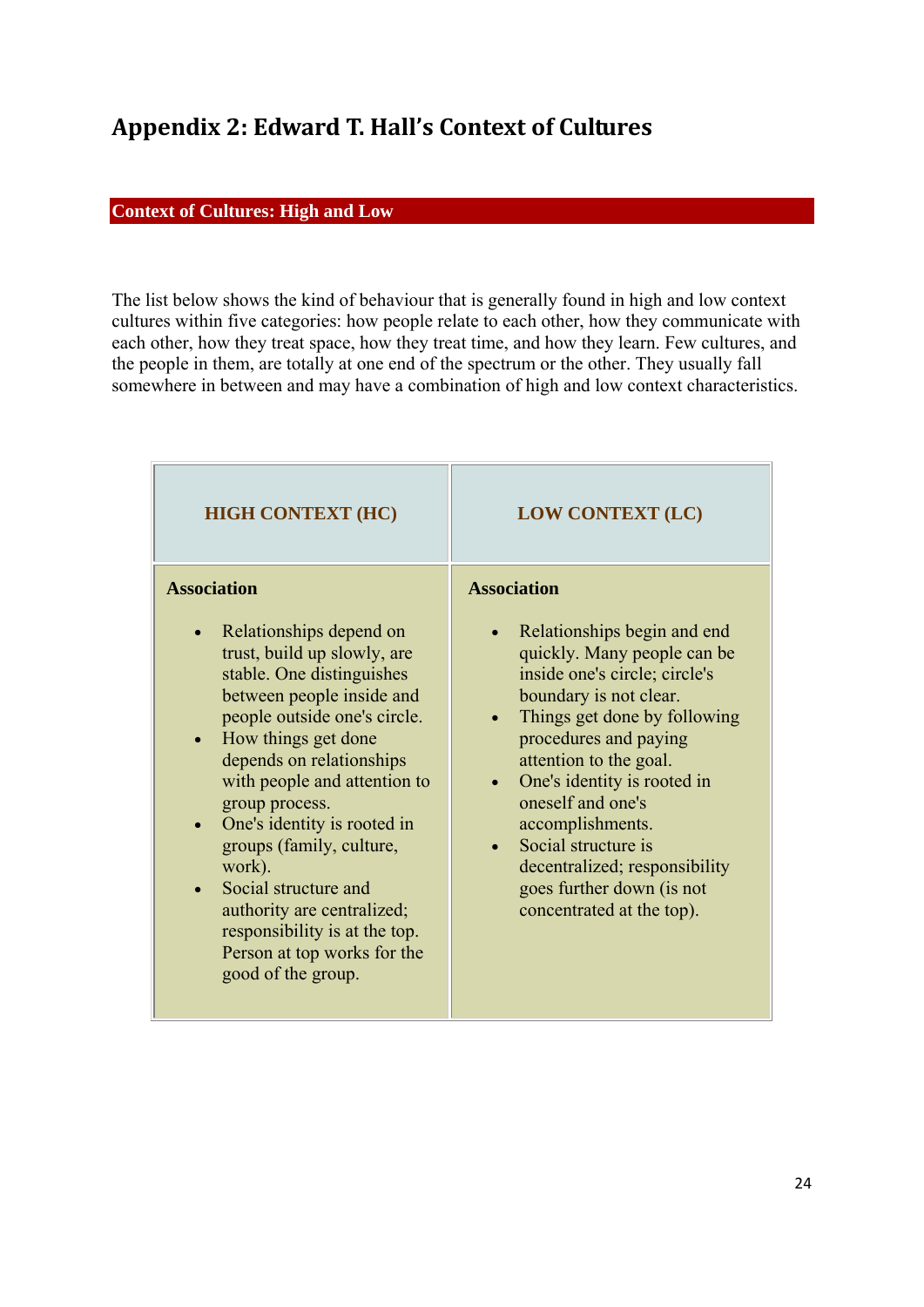# **Appendix 2: Edward T. Hall's Context of Cultures**

#### **Context of Cultures: High and Low**

The list below shows the kind of behaviour that is generally found in high and low context cultures within five categories: how people relate to each other, how they communicate with each other, how they treat space, how they treat time, and how they learn. Few cultures, and the people in them, are totally at one end of the spectrum or the other. They usually fall somewhere in between and may have a combination of high and low context characteristics.

| <b>HIGH CONTEXT (HC)</b>                                                                                                                                                                                                                                                                                                                                                                                                                                                                                                            | <b>LOW CONTEXT (LC)</b>                                                                                                                                                                                                                                                                                                                                                                                                  |
|-------------------------------------------------------------------------------------------------------------------------------------------------------------------------------------------------------------------------------------------------------------------------------------------------------------------------------------------------------------------------------------------------------------------------------------------------------------------------------------------------------------------------------------|--------------------------------------------------------------------------------------------------------------------------------------------------------------------------------------------------------------------------------------------------------------------------------------------------------------------------------------------------------------------------------------------------------------------------|
| <b>Association</b><br>Relationships depend on<br>$\bullet$<br>trust, build up slowly, are<br>stable. One distinguishes<br>between people inside and<br>people outside one's circle.<br>How things get done<br>$\bullet$<br>depends on relationships<br>with people and attention to<br>group process.<br>One's identity is rooted in<br>$\bullet$<br>groups (family, culture,<br>work).<br>Social structure and<br>authority are centralized;<br>responsibility is at the top.<br>Person at top works for the<br>good of the group. | <b>Association</b><br>Relationships begin and end<br>quickly. Many people can be<br>inside one's circle; circle's<br>boundary is not clear.<br>Things get done by following<br>procedures and paying<br>attention to the goal.<br>One's identity is rooted in<br>oneself and one's<br>accomplishments.<br>Social structure is<br>decentralized; responsibility<br>goes further down (is not<br>concentrated at the top). |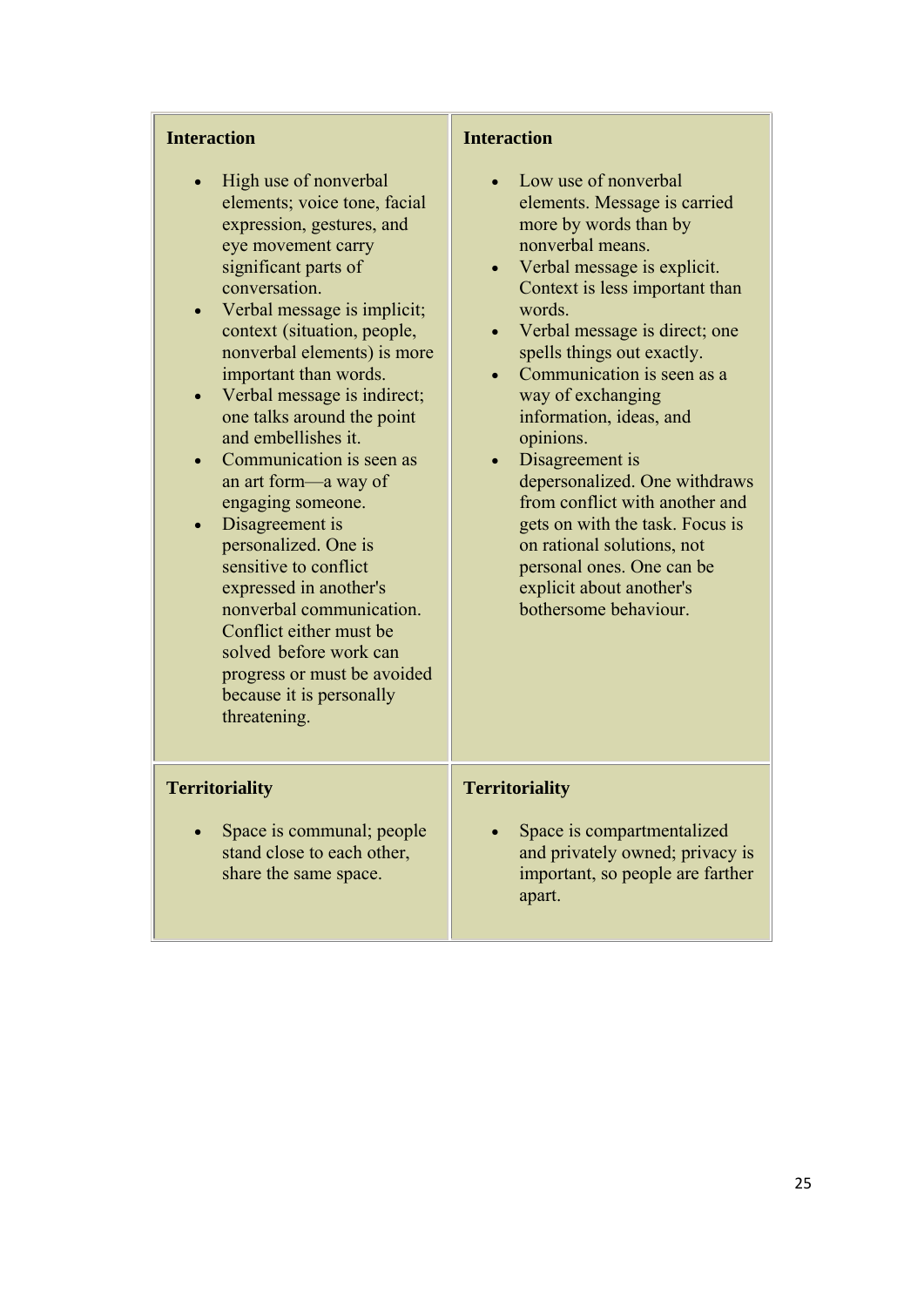| <b>Interaction</b>                                                                                                                                                                                                                                                                                                                                                                                                                                                                                                                                                                                                                                                                             | <b>Interaction</b>                                                                                                                                                                                                                                                                                                                                                                                                                                                                                                                                                              |
|------------------------------------------------------------------------------------------------------------------------------------------------------------------------------------------------------------------------------------------------------------------------------------------------------------------------------------------------------------------------------------------------------------------------------------------------------------------------------------------------------------------------------------------------------------------------------------------------------------------------------------------------------------------------------------------------|---------------------------------------------------------------------------------------------------------------------------------------------------------------------------------------------------------------------------------------------------------------------------------------------------------------------------------------------------------------------------------------------------------------------------------------------------------------------------------------------------------------------------------------------------------------------------------|
| High use of nonverbal<br>elements; voice tone, facial<br>expression, gestures, and<br>eye movement carry<br>significant parts of<br>conversation.<br>Verbal message is implicit;<br>context (situation, people,<br>nonverbal elements) is more<br>important than words.<br>Verbal message is indirect;<br>one talks around the point<br>and embellishes it.<br>Communication is seen as<br>an art form—a way of<br>engaging someone.<br>Disagreement is<br>personalized. One is<br>sensitive to conflict<br>expressed in another's<br>nonverbal communication.<br>Conflict either must be<br>solved before work can<br>progress or must be avoided<br>because it is personally<br>threatening. | Low use of nonverbal<br>elements. Message is carried<br>more by words than by<br>nonverbal means.<br>Verbal message is explicit.<br>Context is less important than<br>words.<br>Verbal message is direct; one<br>spells things out exactly.<br>Communication is seen as a<br>way of exchanging<br>information, ideas, and<br>opinions.<br>Disagreement is<br>depersonalized. One withdraws<br>from conflict with another and<br>gets on with the task. Focus is<br>on rational solutions, not<br>personal ones. One can be<br>explicit about another's<br>bothersome behaviour. |
| <b>Territoriality</b><br>Space is communal; people<br>stand close to each other,<br>share the same space.                                                                                                                                                                                                                                                                                                                                                                                                                                                                                                                                                                                      | <b>Territoriality</b><br>Space is compartmentalized<br>and privately owned; privacy is<br>important, so people are farther<br>apart.                                                                                                                                                                                                                                                                                                                                                                                                                                            |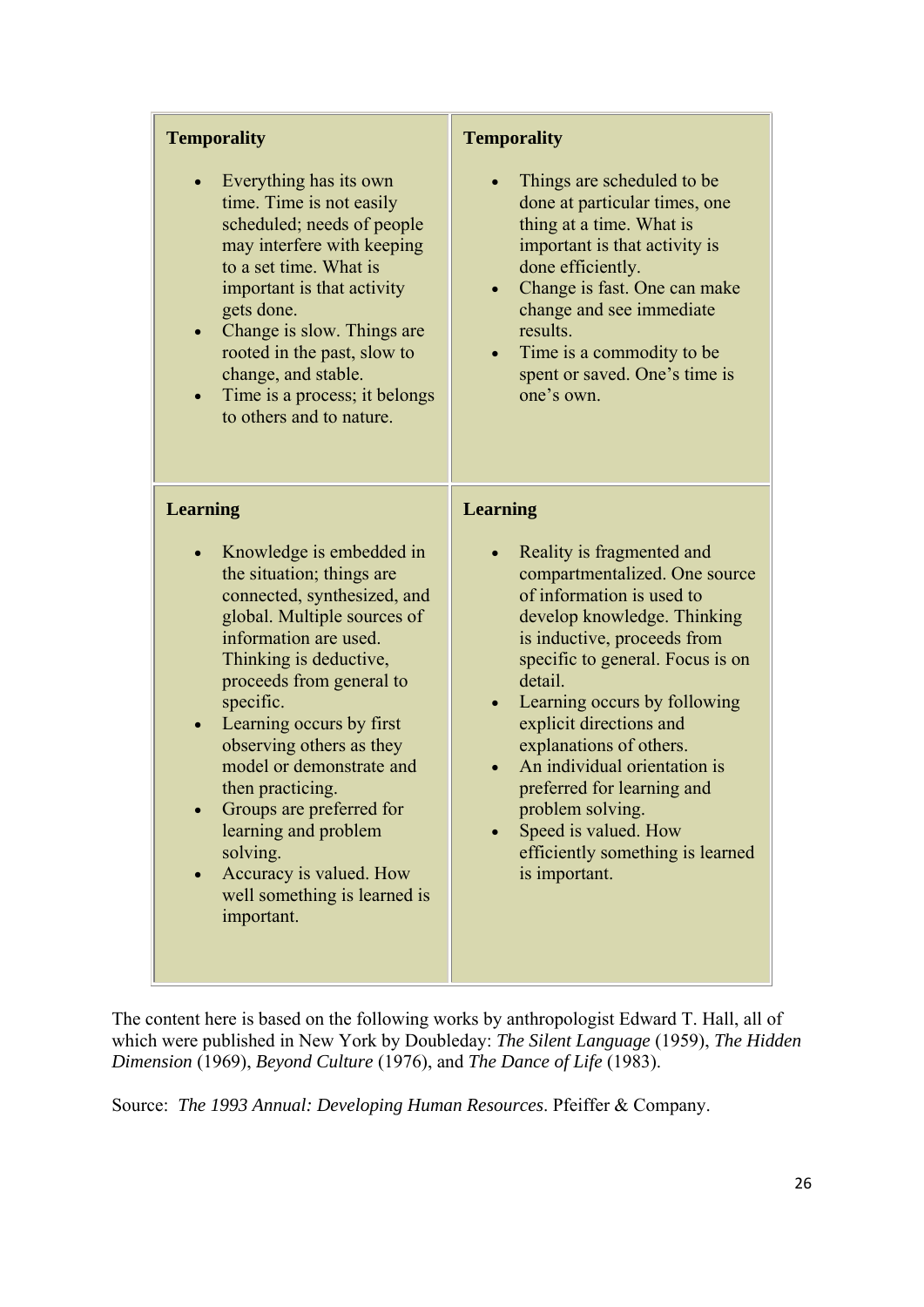| <b>Temporality</b>                                                                                                                                                                                                                                                                                                                                                                                                                                                                         | <b>Temporality</b>                                                                                                                                                                                                                                                                                                                                                                                                                                                     |
|--------------------------------------------------------------------------------------------------------------------------------------------------------------------------------------------------------------------------------------------------------------------------------------------------------------------------------------------------------------------------------------------------------------------------------------------------------------------------------------------|------------------------------------------------------------------------------------------------------------------------------------------------------------------------------------------------------------------------------------------------------------------------------------------------------------------------------------------------------------------------------------------------------------------------------------------------------------------------|
| Everything has its own<br>$\bullet$<br>time. Time is not easily<br>scheduled; needs of people<br>may interfere with keeping<br>to a set time. What is<br>important is that activity<br>gets done.<br>Change is slow. Things are<br>rooted in the past, slow to<br>change, and stable.<br>Time is a process; it belongs<br>to others and to nature.                                                                                                                                         | Things are scheduled to be<br>done at particular times, one<br>thing at a time. What is<br>important is that activity is<br>done efficiently.<br>Change is fast. One can make<br>change and see immediate<br>results.<br>Time is a commodity to be<br>spent or saved. One's time is<br>one's own.                                                                                                                                                                      |
| <b>Learning</b>                                                                                                                                                                                                                                                                                                                                                                                                                                                                            | <b>Learning</b>                                                                                                                                                                                                                                                                                                                                                                                                                                                        |
| Knowledge is embedded in<br>$\bullet$<br>the situation; things are<br>connected, synthesized, and<br>global. Multiple sources of<br>information are used.<br>Thinking is deductive,<br>proceeds from general to<br>specific.<br>Learning occurs by first<br>$\bullet$<br>observing others as they<br>model or demonstrate and<br>then practicing.<br>Groups are preferred for<br>learning and problem<br>solving.<br>Accuracy is valued. How<br>well something is learned is<br>important. | Reality is fragmented and<br>compartmentalized. One source<br>of information is used to<br>develop knowledge. Thinking<br>is inductive, proceeds from<br>specific to general. Focus is on<br>detail.<br>Learning occurs by following<br>$\bullet$<br>explicit directions and<br>explanations of others.<br>An individual orientation is<br>preferred for learning and<br>problem solving.<br>Speed is valued. How<br>efficiently something is learned<br>is important. |

The content here is based on the following works by anthropologist Edward T. Hall, all of which were published in New York by Doubleday: *The Silent Language* (1959), *The Hidden Dimension* (1969), *Beyond Culture* (1976), and *The Dance of Life* (1983).

Source: *The 1993 Annual: Developing Human Resources*. Pfeiffer & Company.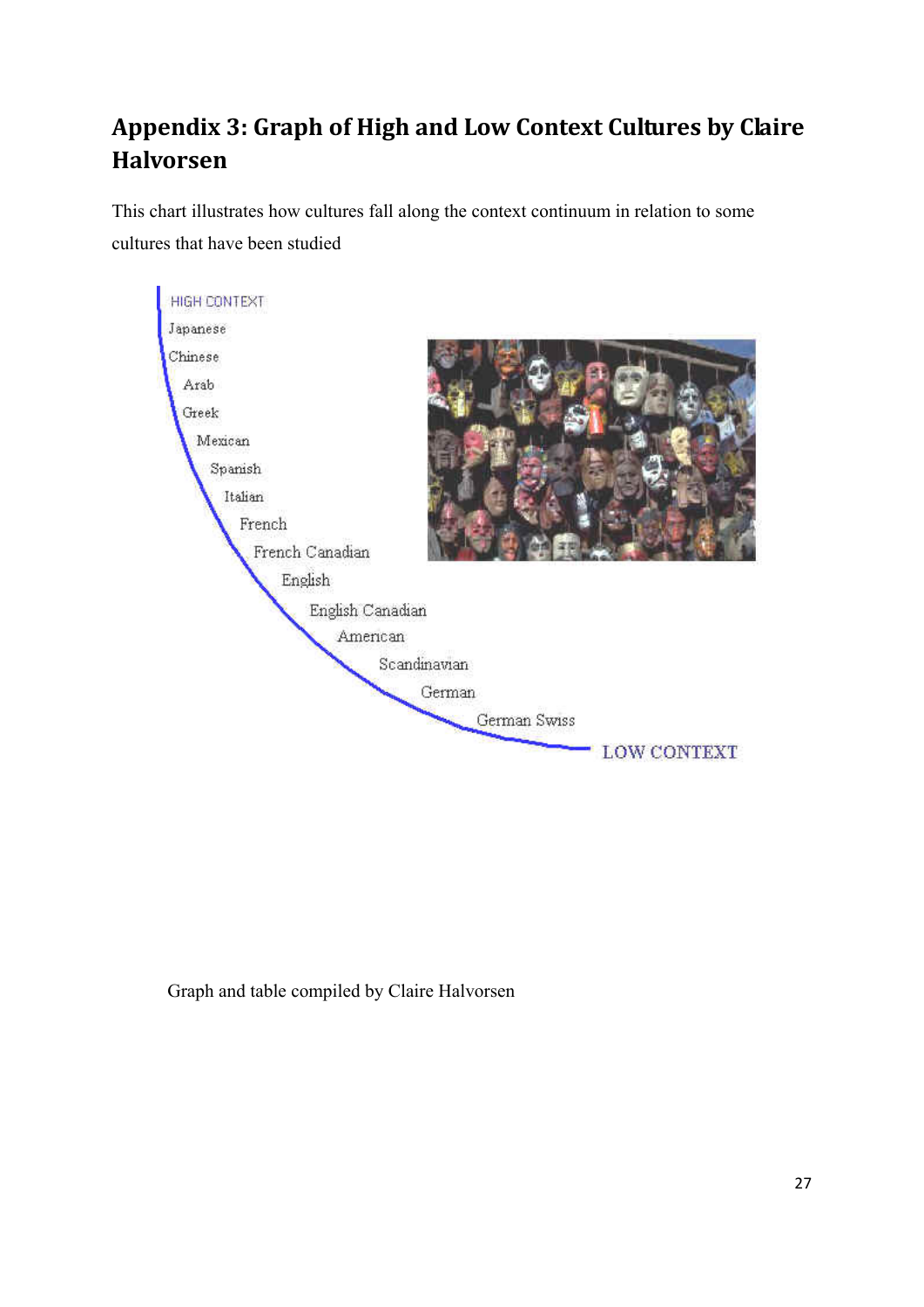# **Appendix 3: Graph of High and Low Context Cultures by Claire Halvorsen**

This chart illustrates how cultures fall along the context continuum in relation to some cultures that have been studied



Graph and table compiled by Claire Halvorsen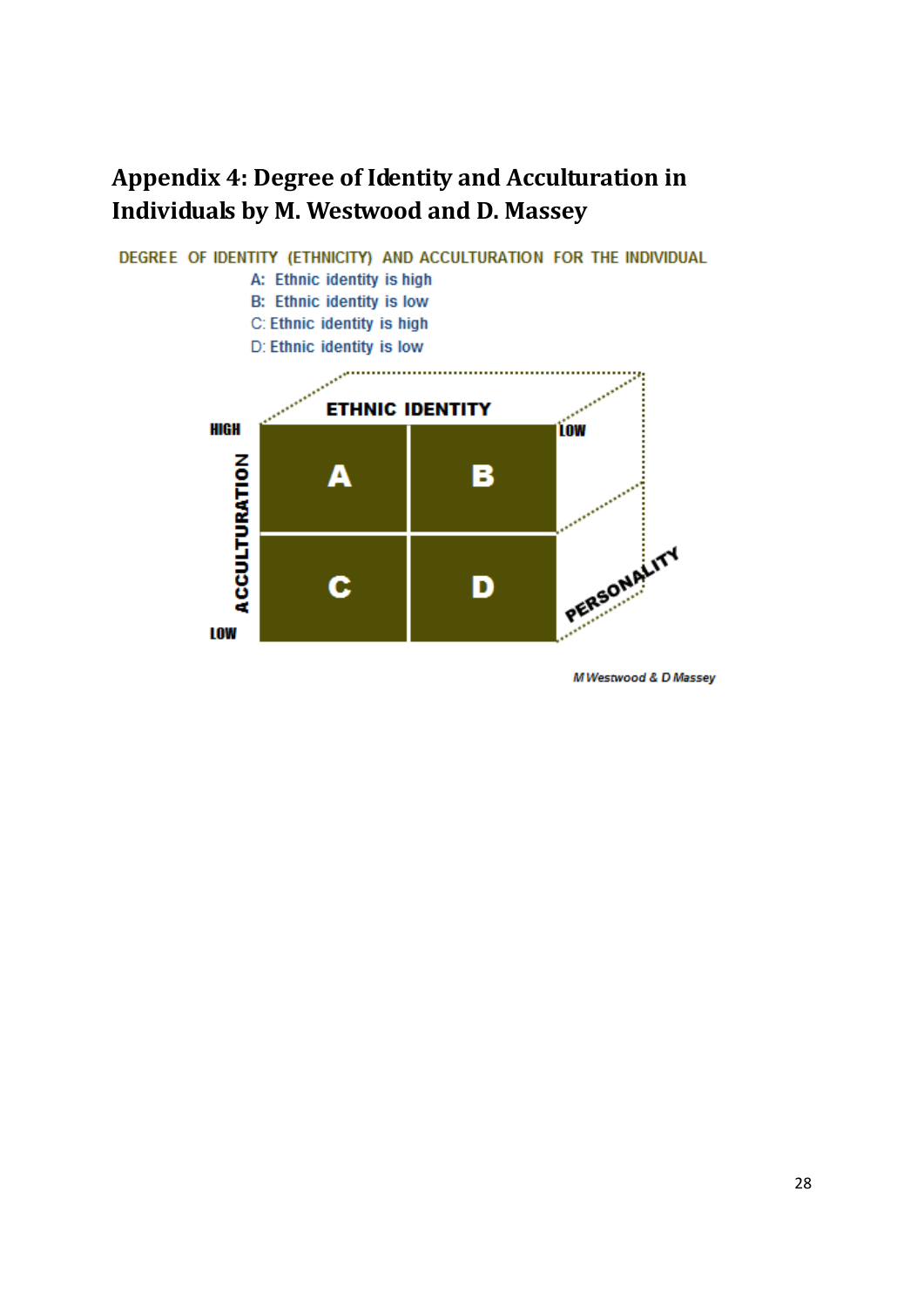# **Appendix 4: Degree of Identity and Acculturation in Individuals by M. Westwood and D. Massey**



M Westwood & D Massey